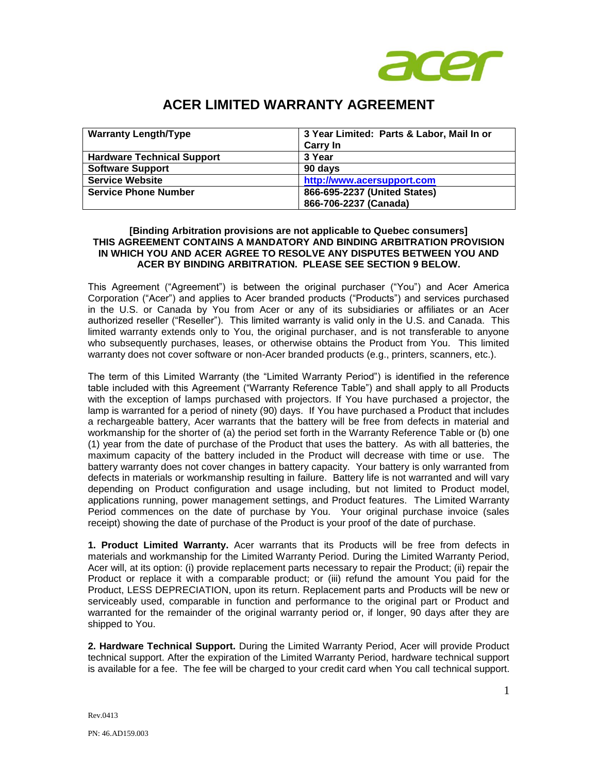

# **ACER LIMITED WARRANTY AGREEMENT**

| <b>Warranty Length/Type</b>       | 3 Year Limited: Parts & Labor, Mail In or |
|-----------------------------------|-------------------------------------------|
|                                   | <b>Carry In</b>                           |
| <b>Hardware Technical Support</b> | 3 Year                                    |
| <b>Software Support</b>           | 90 days                                   |
| <b>Service Website</b>            | http://www.acersupport.com                |
| <b>Service Phone Number</b>       | 866-695-2237 (United States)              |
|                                   | 866-706-2237 (Canada)                     |

# **[Binding Arbitration provisions are not applicable to Quebec consumers] THIS AGREEMENT CONTAINS A MANDATORY AND BINDING ARBITRATION PROVISION IN WHICH YOU AND ACER AGREE TO RESOLVE ANY DISPUTES BETWEEN YOU AND ACER BY BINDING ARBITRATION. PLEASE SEE SECTION 9 BELOW.**

This Agreement ("Agreement") is between the original purchaser ("You") and Acer America Corporation ("Acer") and applies to Acer branded products ("Products") and services purchased in the U.S. or Canada by You from Acer or any of its subsidiaries or affiliates or an Acer authorized reseller ("Reseller"). This limited warranty is valid only in the U.S. and Canada. This limited warranty extends only to You, the original purchaser, and is not transferable to anyone who subsequently purchases, leases, or otherwise obtains the Product from You. This limited warranty does not cover software or non-Acer branded products (e.g., printers, scanners, etc.).

The term of this Limited Warranty (the "Limited Warranty Period") is identified in the reference table included with this Agreement ("Warranty Reference Table") and shall apply to all Products with the exception of lamps purchased with projectors. If You have purchased a projector, the lamp is warranted for a period of ninety (90) days. If You have purchased a Product that includes a rechargeable battery, Acer warrants that the battery will be free from defects in material and workmanship for the shorter of (a) the period set forth in the Warranty Reference Table or (b) one (1) year from the date of purchase of the Product that uses the battery. As with all batteries, the maximum capacity of the battery included in the Product will decrease with time or use. The battery warranty does not cover changes in battery capacity. Your battery is only warranted from defects in materials or workmanship resulting in failure. Battery life is not warranted and will vary depending on Product configuration and usage including, but not limited to Product model, applications running, power management settings, and Product features. The Limited Warranty Period commences on the date of purchase by You. Your original purchase invoice (sales receipt) showing the date of purchase of the Product is your proof of the date of purchase.

**1. Product Limited Warranty.** Acer warrants that its Products will be free from defects in materials and workmanship for the Limited Warranty Period. During the Limited Warranty Period, Acer will, at its option: (i) provide replacement parts necessary to repair the Product; (ii) repair the Product or replace it with a comparable product; or (iii) refund the amount You paid for the Product, LESS DEPRECIATION, upon its return. Replacement parts and Products will be new or serviceably used, comparable in function and performance to the original part or Product and warranted for the remainder of the original warranty period or, if longer, 90 days after they are shipped to You.

**2. Hardware Technical Support.** During the Limited Warranty Period, Acer will provide Product technical support. After the expiration of the Limited Warranty Period, hardware technical support is available for a fee. The fee will be charged to your credit card when You call technical support.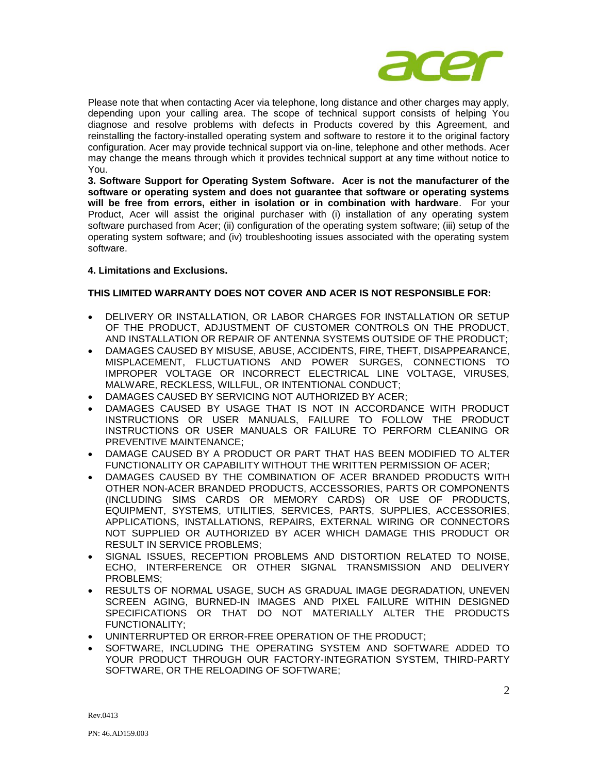

Please note that when contacting Acer via telephone, long distance and other charges may apply, depending upon your calling area. The scope of technical support consists of helping You diagnose and resolve problems with defects in Products covered by this Agreement, and reinstalling the factory-installed operating system and software to restore it to the original factory configuration. Acer may provide technical support via on-line, telephone and other methods. Acer may change the means through which it provides technical support at any time without notice to You.

**3. Software Support for Operating System Software. Acer is not the manufacturer of the software or operating system and does not guarantee that software or operating systems will be free from errors, either in isolation or in combination with hardware**. For your Product, Acer will assist the original purchaser with (i) installation of any operating system software purchased from Acer; (ii) configuration of the operating system software; (iii) setup of the operating system software; and (iv) troubleshooting issues associated with the operating system software.

# **4. Limitations and Exclusions.**

# **THIS LIMITED WARRANTY DOES NOT COVER AND ACER IS NOT RESPONSIBLE FOR:**

- DELIVERY OR INSTALLATION, OR LABOR CHARGES FOR INSTALLATION OR SETUP OF THE PRODUCT, ADJUSTMENT OF CUSTOMER CONTROLS ON THE PRODUCT, AND INSTALLATION OR REPAIR OF ANTENNA SYSTEMS OUTSIDE OF THE PRODUCT;
- DAMAGES CAUSED BY MISUSE, ABUSE, ACCIDENTS, FIRE, THEFT, DISAPPEARANCE, MISPLACEMENT, FLUCTUATIONS AND POWER SURGES, CONNECTIONS TO IMPROPER VOLTAGE OR INCORRECT ELECTRICAL LINE VOLTAGE, VIRUSES, MALWARE, RECKLESS, WILLFUL, OR INTENTIONAL CONDUCT;
- DAMAGES CAUSED BY SERVICING NOT AUTHORIZED BY ACER;
- DAMAGES CAUSED BY USAGE THAT IS NOT IN ACCORDANCE WITH PRODUCT INSTRUCTIONS OR USER MANUALS, FAILURE TO FOLLOW THE PRODUCT INSTRUCTIONS OR USER MANUALS OR FAILURE TO PERFORM CLEANING OR PREVENTIVE MAINTENANCE;
- DAMAGE CAUSED BY A PRODUCT OR PART THAT HAS BEEN MODIFIED TO ALTER FUNCTIONALITY OR CAPABILITY WITHOUT THE WRITTEN PERMISSION OF ACER;
- DAMAGES CAUSED BY THE COMBINATION OF ACER BRANDED PRODUCTS WITH OTHER NON-ACER BRANDED PRODUCTS, ACCESSORIES, PARTS OR COMPONENTS (INCLUDING SIMS CARDS OR MEMORY CARDS) OR USE OF PRODUCTS, EQUIPMENT, SYSTEMS, UTILITIES, SERVICES, PARTS, SUPPLIES, ACCESSORIES, APPLICATIONS, INSTALLATIONS, REPAIRS, EXTERNAL WIRING OR CONNECTORS NOT SUPPLIED OR AUTHORIZED BY ACER WHICH DAMAGE THIS PRODUCT OR RESULT IN SERVICE PROBLEMS;
- **SIGNAL ISSUES, RECEPTION PROBLEMS AND DISTORTION RELATED TO NOISE,** ECHO, INTERFERENCE OR OTHER SIGNAL TRANSMISSION AND DELIVERY PROBLEMS;
- RESULTS OF NORMAL USAGE, SUCH AS GRADUAL IMAGE DEGRADATION, UNEVEN SCREEN AGING, BURNED-IN IMAGES AND PIXEL FAILURE WITHIN DESIGNED SPECIFICATIONS OR THAT DO NOT MATERIALLY ALTER THE PRODUCTS FUNCTIONALITY;
- UNINTERRUPTED OR ERROR-FREE OPERATION OF THE PRODUCT;
- SOFTWARE, INCLUDING THE OPERATING SYSTEM AND SOFTWARE ADDED TO YOUR PRODUCT THROUGH OUR FACTORY-INTEGRATION SYSTEM, THIRD-PARTY SOFTWARE, OR THE RELOADING OF SOFTWARE;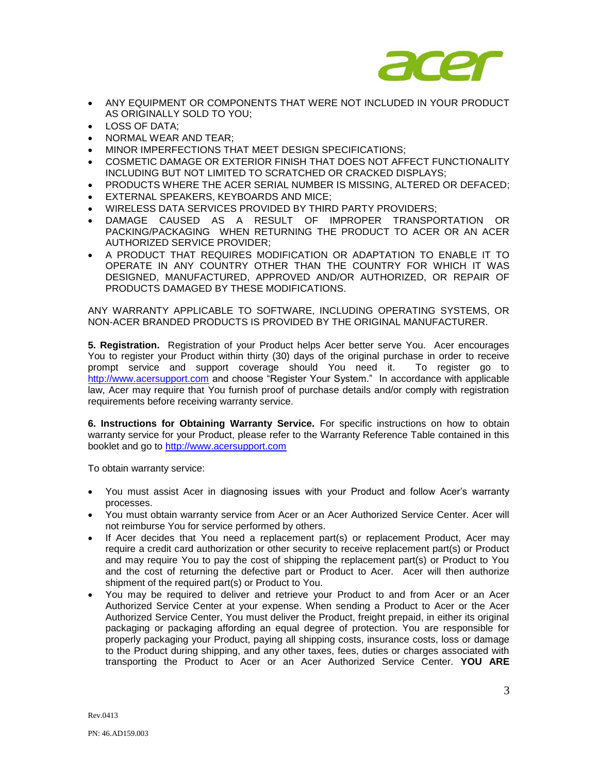

- ANY EQUIPMENT OR COMPONENTS THAT WERE NOT INCLUDED IN YOUR PRODUCT AS ORIGINALLY SOLD TO YOU;
- LOSS OF DATA;
- NORMAL WEAR AND TEAR;
- MINOR IMPERFECTIONS THAT MEET DESIGN SPECIFICATIONS;
- COSMETIC DAMAGE OR EXTERIOR FINISH THAT DOES NOT AFFECT FUNCTIONALITY INCLUDING BUT NOT LIMITED TO SCRATCHED OR CRACKED DISPLAYS;
- PRODUCTS WHERE THE ACER SERIAL NUMBER IS MISSING, ALTERED OR DEFACED;
- EXTERNAL SPEAKERS, KEYBOARDS AND MICE;
- WIRELESS DATA SERVICES PROVIDED BY THIRD PARTY PROVIDERS;
- DAMAGE CAUSED AS A RESULT OF IMPROPER TRANSPORTATION OR PACKING/PACKAGING WHEN RETURNING THE PRODUCT TO ACER OR AN ACER AUTHORIZED SERVICE PROVIDER;
- A PRODUCT THAT REQUIRES MODIFICATION OR ADAPTATION TO ENABLE IT TO OPERATE IN ANY COUNTRY OTHER THAN THE COUNTRY FOR WHICH IT WAS DESIGNED, MANUFACTURED, APPROVED AND/OR AUTHORIZED, OR REPAIR OF PRODUCTS DAMAGED BY THESE MODIFICATIONS.

ANY WARRANTY APPLICABLE TO SOFTWARE, INCLUDING OPERATING SYSTEMS, OR NON-ACER BRANDED PRODUCTS IS PROVIDED BY THE ORIGINAL MANUFACTURER.

**5. Registration.** Registration of your Product helps Acer better serve You. Acer encourages You to register your Product within thirty (30) days of the original purchase in order to receive prompt service and support coverage should You need it. To register go to [http://www.acersupport.com](http://www.acersupport.com/) and choose "Register Your System." In accordance with applicable law, Acer may require that You furnish proof of purchase details and/or comply with registration requirements before receiving warranty service.

**6. Instructions for Obtaining Warranty Service.** For specific instructions on how to obtain warranty service for your Product, please refer to the Warranty Reference Table contained in this booklet and go to [http://www.acersupport.com](http://www.acersupport.com/) 

To obtain warranty service:

- You must assist Acer in diagnosing issues with your Product and follow Acer's warranty processes.
- You must obtain warranty service from Acer or an Acer Authorized Service Center. Acer will not reimburse You for service performed by others.
- If Acer decides that You need a replacement part(s) or replacement Product, Acer may require a credit card authorization or other security to receive replacement part(s) or Product and may require You to pay the cost of shipping the replacement part(s) or Product to You and the cost of returning the defective part or Product to Acer. Acer will then authorize shipment of the required part(s) or Product to You.
- You may be required to deliver and retrieve your Product to and from Acer or an Acer Authorized Service Center at your expense. When sending a Product to Acer or the Acer Authorized Service Center, You must deliver the Product, freight prepaid, in either its original packaging or packaging affording an equal degree of protection. You are responsible for properly packaging your Product, paying all shipping costs, insurance costs, loss or damage to the Product during shipping, and any other taxes, fees, duties or charges associated with transporting the Product to Acer or an Acer Authorized Service Center. **YOU ARE**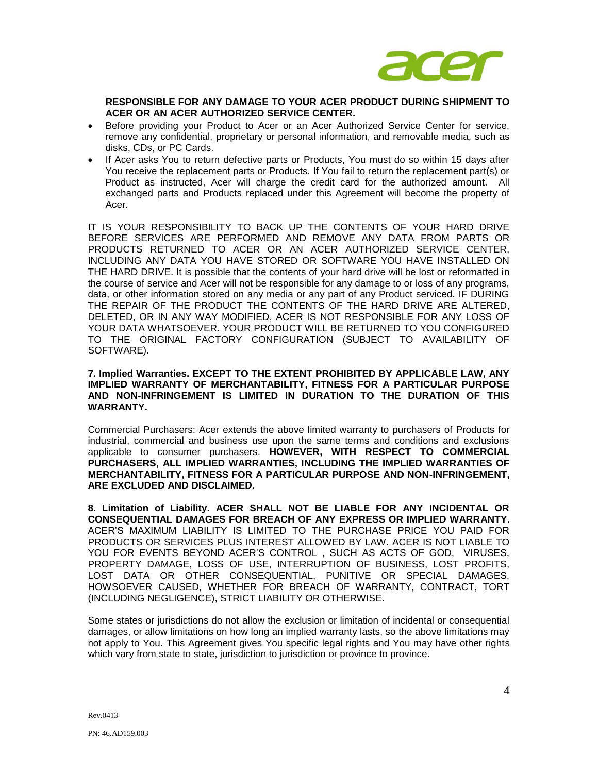

**RESPONSIBLE FOR ANY DAMAGE TO YOUR ACER PRODUCT DURING SHIPMENT TO ACER OR AN ACER AUTHORIZED SERVICE CENTER.** 

- Before providing your Product to Acer or an Acer Authorized Service Center for service, remove any confidential, proprietary or personal information, and removable media, such as disks, CDs, or PC Cards.
- If Acer asks You to return defective parts or Products, You must do so within 15 days after You receive the replacement parts or Products. If You fail to return the replacement part(s) or Product as instructed, Acer will charge the credit card for the authorized amount. All exchanged parts and Products replaced under this Agreement will become the property of Acer.

IT IS YOUR RESPONSIBILITY TO BACK UP THE CONTENTS OF YOUR HARD DRIVE BEFORE SERVICES ARE PERFORMED AND REMOVE ANY DATA FROM PARTS OR PRODUCTS RETURNED TO ACER OR AN ACER AUTHORIZED SERVICE CENTER, INCLUDING ANY DATA YOU HAVE STORED OR SOFTWARE YOU HAVE INSTALLED ON THE HARD DRIVE. It is possible that the contents of your hard drive will be lost or reformatted in the course of service and Acer will not be responsible for any damage to or loss of any programs, data, or other information stored on any media or any part of any Product serviced. IF DURING THE REPAIR OF THE PRODUCT THE CONTENTS OF THE HARD DRIVE ARE ALTERED, DELETED, OR IN ANY WAY MODIFIED, ACER IS NOT RESPONSIBLE FOR ANY LOSS OF YOUR DATA WHATSOEVER. YOUR PRODUCT WILL BE RETURNED TO YOU CONFIGURED TO THE ORIGINAL FACTORY CONFIGURATION (SUBJECT TO AVAILABILITY OF SOFTWARE).

# **7. Implied Warranties. EXCEPT TO THE EXTENT PROHIBITED BY APPLICABLE LAW, ANY IMPLIED WARRANTY OF MERCHANTABILITY, FITNESS FOR A PARTICULAR PURPOSE AND NON-INFRINGEMENT IS LIMITED IN DURATION TO THE DURATION OF THIS WARRANTY.**

Commercial Purchasers: Acer extends the above limited warranty to purchasers of Products for industrial, commercial and business use upon the same terms and conditions and exclusions applicable to consumer purchasers. **HOWEVER, WITH RESPECT TO COMMERCIAL PURCHASERS, ALL IMPLIED WARRANTIES, INCLUDING THE IMPLIED WARRANTIES OF MERCHANTABILITY, FITNESS FOR A PARTICULAR PURPOSE AND NON-INFRINGEMENT, ARE EXCLUDED AND DISCLAIMED.** 

**8. Limitation of Liability. ACER SHALL NOT BE LIABLE FOR ANY INCIDENTAL OR CONSEQUENTIAL DAMAGES FOR BREACH OF ANY EXPRESS OR IMPLIED WARRANTY.**  ACER'S MAXIMUM LIABILITY IS LIMITED TO THE PURCHASE PRICE YOU PAID FOR PRODUCTS OR SERVICES PLUS INTEREST ALLOWED BY LAW. ACER IS NOT LIABLE TO YOU FOR EVENTS BEYOND ACER'S CONTROL , SUCH AS ACTS OF GOD, VIRUSES, PROPERTY DAMAGE, LOSS OF USE, INTERRUPTION OF BUSINESS, LOST PROFITS, LOST DATA OR OTHER CONSEQUENTIAL, PUNITIVE OR SPECIAL DAMAGES, HOWSOEVER CAUSED, WHETHER FOR BREACH OF WARRANTY, CONTRACT, TORT (INCLUDING NEGLIGENCE), STRICT LIABILITY OR OTHERWISE.

Some states or jurisdictions do not allow the exclusion or limitation of incidental or consequential damages, or allow limitations on how long an implied warranty lasts, so the above limitations may not apply to You. This Agreement gives You specific legal rights and You may have other rights which vary from state to state, jurisdiction to jurisdiction or province to province.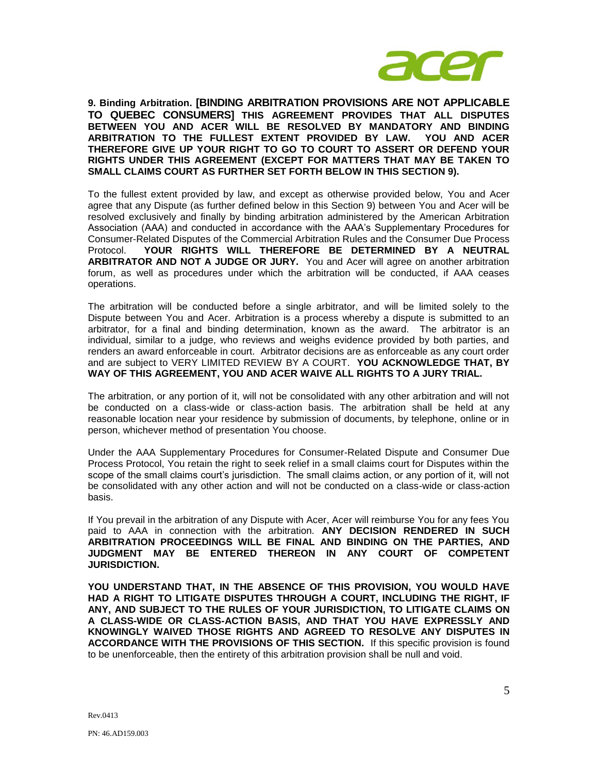

**9. Binding Arbitration. [BINDING ARBITRATION PROVISIONS ARE NOT APPLICABLE TO QUEBEC CONSUMERS] THIS AGREEMENT PROVIDES THAT ALL DISPUTES BETWEEN YOU AND ACER WILL BE RESOLVED BY MANDATORY AND BINDING ARBITRATION TO THE FULLEST EXTENT PROVIDED BY LAW. YOU AND ACER THEREFORE GIVE UP YOUR RIGHT TO GO TO COURT TO ASSERT OR DEFEND YOUR RIGHTS UNDER THIS AGREEMENT (EXCEPT FOR MATTERS THAT MAY BE TAKEN TO SMALL CLAIMS COURT AS FURTHER SET FORTH BELOW IN THIS SECTION 9).** 

To the fullest extent provided by law, and except as otherwise provided below, You and Acer agree that any Dispute (as further defined below in this Section 9) between You and Acer will be resolved exclusively and finally by binding arbitration administered by the American Arbitration Association (AAA) and conducted in accordance with the AAA's Supplementary Procedures for Consumer-Related Disputes of the Commercial Arbitration Rules and the Consumer Due Process Protocol. **YOUR RIGHTS WILL THEREFORE BE DETERMINED BY A NEUTRAL ARBITRATOR AND NOT A JUDGE OR JURY.** You and Acer will agree on another arbitration forum, as well as procedures under which the arbitration will be conducted, if AAA ceases operations.

The arbitration will be conducted before a single arbitrator, and will be limited solely to the Dispute between You and Acer. Arbitration is a process whereby a dispute is submitted to an arbitrator, for a final and binding determination, known as the award. The arbitrator is an individual, similar to a judge, who reviews and weighs evidence provided by both parties, and renders an award enforceable in court. Arbitrator decisions are as enforceable as any court order and are subject to VERY LIMITED REVIEW BY A COURT. **YOU ACKNOWLEDGE THAT, BY WAY OF THIS AGREEMENT, YOU AND ACER WAIVE ALL RIGHTS TO A JURY TRIAL.** 

The arbitration, or any portion of it, will not be consolidated with any other arbitration and will not be conducted on a class-wide or class-action basis. The arbitration shall be held at any reasonable location near your residence by submission of documents, by telephone, online or in person, whichever method of presentation You choose.

Under the AAA Supplementary Procedures for Consumer-Related Dispute and Consumer Due Process Protocol, You retain the right to seek relief in a small claims court for Disputes within the scope of the small claims court's jurisdiction. The small claims action, or any portion of it, will not be consolidated with any other action and will not be conducted on a class-wide or class-action basis.

If You prevail in the arbitration of any Dispute with Acer, Acer will reimburse You for any fees You paid to AAA in connection with the arbitration. **ANY DECISION RENDERED IN SUCH ARBITRATION PROCEEDINGS WILL BE FINAL AND BINDING ON THE PARTIES, AND JUDGMENT MAY BE ENTERED THEREON IN ANY COURT OF COMPETENT JURISDICTION.**

**YOU UNDERSTAND THAT, IN THE ABSENCE OF THIS PROVISION, YOU WOULD HAVE HAD A RIGHT TO LITIGATE DISPUTES THROUGH A COURT, INCLUDING THE RIGHT, IF ANY, AND SUBJECT TO THE RULES OF YOUR JURISDICTION, TO LITIGATE CLAIMS ON A CLASS-WIDE OR CLASS-ACTION BASIS, AND THAT YOU HAVE EXPRESSLY AND KNOWINGLY WAIVED THOSE RIGHTS AND AGREED TO RESOLVE ANY DISPUTES IN ACCORDANCE WITH THE PROVISIONS OF THIS SECTION.** If this specific provision is found to be unenforceable, then the entirety of this arbitration provision shall be null and void.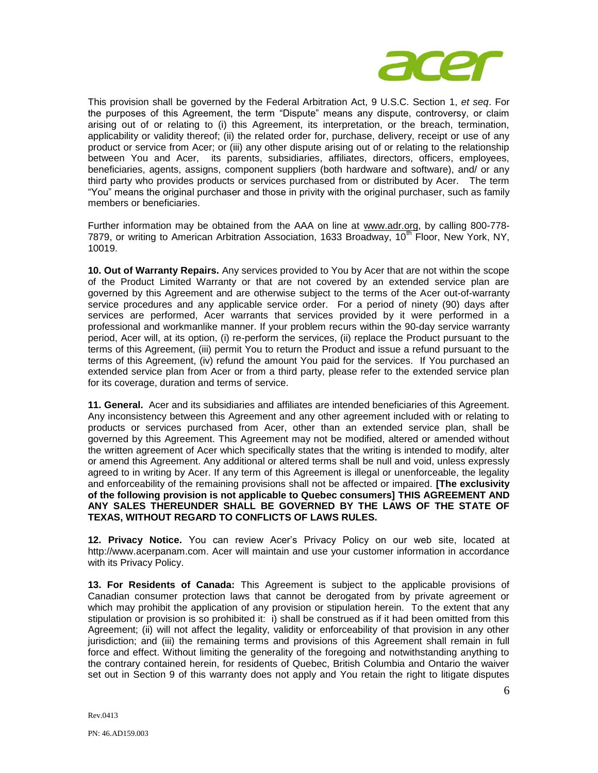

This provision shall be governed by the Federal Arbitration Act, 9 U.S.C. Section 1, *et seq*. For the purposes of this Agreement, the term "Dispute" means any dispute, controversy, or claim arising out of or relating to (i) this Agreement, its interpretation, or the breach, termination, applicability or validity thereof; (ii) the related order for, purchase, delivery, receipt or use of any product or service from Acer; or (iii) any other dispute arising out of or relating to the relationship between You and Acer, its parents, subsidiaries, affiliates, directors, officers, employees, beneficiaries, agents, assigns, component suppliers (both hardware and software), and/ or any third party who provides products or services purchased from or distributed by Acer. The term "You" means the original purchaser and those in privity with the original purchaser, such as family members or beneficiaries.

Further information may be obtained from the AAA on line at www.adr.org, by calling 800-778- 7879, or writing to American Arbitration Association, 1633 Broadway, 10<sup>th</sup> Floor, New York, NY, 10019.

**10. Out of Warranty Repairs.** Any services provided to You by Acer that are not within the scope of the Product Limited Warranty or that are not covered by an extended service plan are governed by this Agreement and are otherwise subject to the terms of the Acer out-of-warranty service procedures and any applicable service order. For a period of ninety (90) days after services are performed, Acer warrants that services provided by it were performed in a professional and workmanlike manner. If your problem recurs within the 90-day service warranty period, Acer will, at its option, (i) re-perform the services, (ii) replace the Product pursuant to the terms of this Agreement, (iii) permit You to return the Product and issue a refund pursuant to the terms of this Agreement, (iv) refund the amount You paid for the services. If You purchased an extended service plan from Acer or from a third party, please refer to the extended service plan for its coverage, duration and terms of service.

**11. General.** Acer and its subsidiaries and affiliates are intended beneficiaries of this Agreement. Any inconsistency between this Agreement and any other agreement included with or relating to products or services purchased from Acer, other than an extended service plan, shall be governed by this Agreement. This Agreement may not be modified, altered or amended without the written agreement of Acer which specifically states that the writing is intended to modify, alter or amend this Agreement. Any additional or altered terms shall be null and void, unless expressly agreed to in writing by Acer. If any term of this Agreement is illegal or unenforceable, the legality and enforceability of the remaining provisions shall not be affected or impaired. **[The exclusivity of the following provision is not applicable to Quebec consumers] THIS AGREEMENT AND ANY SALES THEREUNDER SHALL BE GOVERNED BY THE LAWS OF THE STATE OF TEXAS, WITHOUT REGARD TO CONFLICTS OF LAWS RULES.** 

**12. Privacy Notice.** You can review Acer's Privacy Policy on our web site, located at http://www.acerpanam.com. Acer will maintain and use your customer information in accordance with its Privacy Policy.

**13. For Residents of Canada:** This Agreement is subject to the applicable provisions of Canadian consumer protection laws that cannot be derogated from by private agreement or which may prohibit the application of any provision or stipulation herein. To the extent that any stipulation or provision is so prohibited it: i) shall be construed as if it had been omitted from this Agreement; (ii) will not affect the legality, validity or enforceability of that provision in any other jurisdiction; and (iii) the remaining terms and provisions of this Agreement shall remain in full force and effect. Without limiting the generality of the foregoing and notwithstanding anything to the contrary contained herein, for residents of Quebec, British Columbia and Ontario the waiver set out in Section 9 of this warranty does not apply and You retain the right to litigate disputes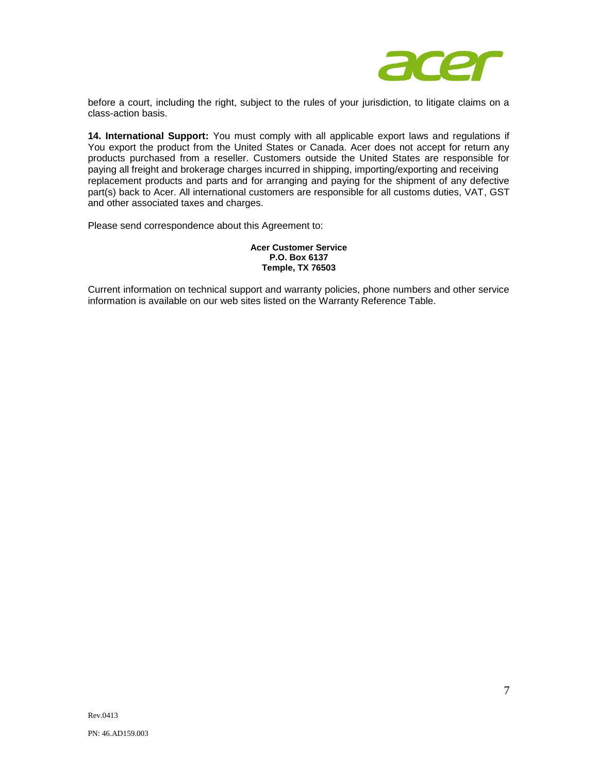

before a court, including the right, subject to the rules of your jurisdiction, to litigate claims on a class-action basis.

**14. International Support:** You must comply with all applicable export laws and regulations if You export the product from the United States or Canada. Acer does not accept for return any products purchased from a reseller. Customers outside the United States are responsible for paying all freight and brokerage charges incurred in shipping, importing/exporting and receiving replacement products and parts and for arranging and paying for the shipment of any defective part(s) back to Acer. All international customers are responsible for all customs duties, VAT, GST and other associated taxes and charges.

Please send correspondence about this Agreement to:

## **Acer Customer Service P.O. Box 6137 Temple, TX 76503**

Current information on technical support and warranty policies, phone numbers and other service information is available on our web sites listed on the Warranty Reference Table.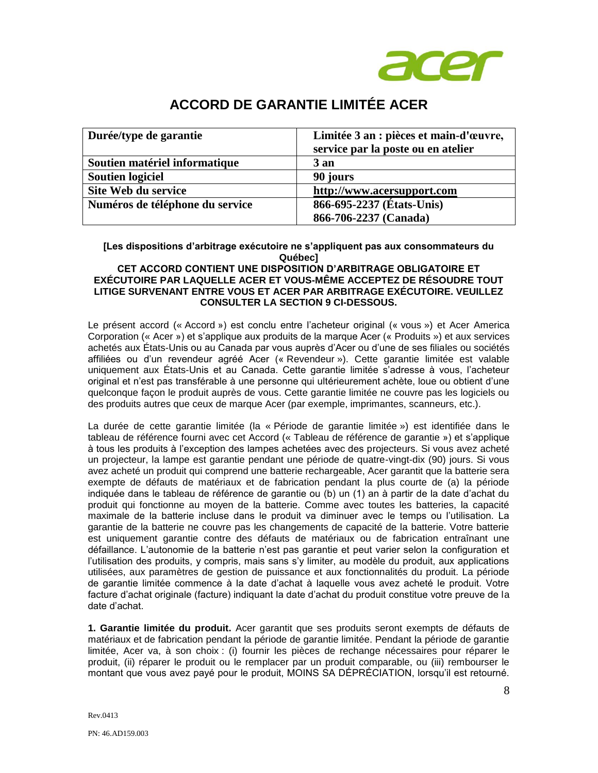

# **ACCORD DE GARANTIE LIMITÉE ACER**

| Durée/type de garantie          | Limitée 3 an : pièces et main-d'œuvre,<br>service par la poste ou en atelier |
|---------------------------------|------------------------------------------------------------------------------|
| Soutien matériel informatique   | $3$ an                                                                       |
| <b>Soutien logiciel</b>         | 90 jours                                                                     |
| Site Web du service             | http://www.acersupport.com                                                   |
| Numéros de téléphone du service | 866-695-2237 (États-Unis)                                                    |
|                                 | 866-706-2237 (Canada)                                                        |

**[Les dispositions d'arbitrage exécutoire ne s'appliquent pas aux consommateurs du Québec]**

# **CET ACCORD CONTIENT UNE DISPOSITION D'ARBITRAGE OBLIGATOIRE ET EXÉCUTOIRE PAR LAQUELLE ACER ET VOUS-MÊME ACCEPTEZ DE RÉSOUDRE TOUT LITIGE SURVENANT ENTRE VOUS ET ACER PAR ARBITRAGE EXÉCUTOIRE. VEUILLEZ CONSULTER LA SECTION 9 CI-DESSOUS.**

Le présent accord (« Accord ») est conclu entre l'acheteur original (« vous ») et Acer America Corporation (« Acer ») et s'applique aux produits de la marque Acer (« Produits ») et aux services achetés aux États-Unis ou au Canada par vous auprès d'Acer ou d'une de ses filiales ou sociétés affiliées ou d'un revendeur agréé Acer (« Revendeur »). Cette garantie limitée est valable uniquement aux États-Unis et au Canada. Cette garantie limitée s'adresse à vous, l'acheteur original et n'est pas transférable à une personne qui ultérieurement achète, loue ou obtient d'une quelconque façon le produit auprès de vous. Cette garantie limitée ne couvre pas les logiciels ou des produits autres que ceux de marque Acer (par exemple, imprimantes, scanneurs, etc.).

La durée de cette garantie limitée (la « Période de garantie limitée ») est identifiée dans le tableau de référence fourni avec cet Accord (« Tableau de référence de garantie ») et s'applique à tous les produits à l'exception des lampes achetées avec des projecteurs. Si vous avez acheté un projecteur, la lampe est garantie pendant une période de quatre-vingt-dix (90) jours. Si vous avez acheté un produit qui comprend une batterie rechargeable, Acer garantit que la batterie sera exempte de défauts de matériaux et de fabrication pendant la plus courte de (a) la période indiquée dans le tableau de référence de garantie ou (b) un (1) an à partir de la date d'achat du produit qui fonctionne au moyen de la batterie. Comme avec toutes les batteries, la capacité maximale de la batterie incluse dans le produit va diminuer avec le temps ou l'utilisation. La garantie de la batterie ne couvre pas les changements de capacité de la batterie. Votre batterie est uniquement garantie contre des défauts de matériaux ou de fabrication entraînant une défaillance. L'autonomie de la batterie n'est pas garantie et peut varier selon la configuration et l'utilisation des produits, y compris, mais sans s'y limiter, au modèle du produit, aux applications utilisées, aux paramètres de gestion de puissance et aux fonctionnalités du produit. La période de garantie limitée commence à la date d'achat à laquelle vous avez acheté le produit. Votre facture d'achat originale (facture) indiquant la date d'achat du produit constitue votre preuve de la date d'achat.

**1. Garantie limitée du produit.** Acer garantit que ses produits seront exempts de défauts de matériaux et de fabrication pendant la période de garantie limitée. Pendant la période de garantie limitée, Acer va, à son choix : (i) fournir les pièces de rechange nécessaires pour réparer le produit, (ii) réparer le produit ou le remplacer par un produit comparable, ou (iii) rembourser le montant que vous avez payé pour le produit, MOINS SA DÉPRÉCIATION, lorsqu'il est retourné.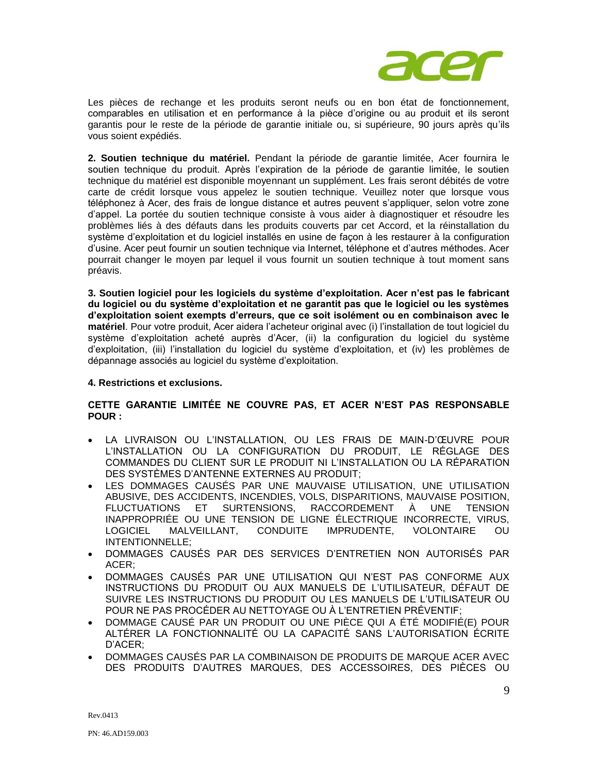

Les pièces de rechange et les produits seront neufs ou en bon état de fonctionnement, comparables en utilisation et en performance à la pièce d'origine ou au produit et ils seront garantis pour le reste de la période de garantie initiale ou, si supérieure, 90 jours après qu'ils vous soient expédiés.

**2. Soutien technique du matériel.** Pendant la période de garantie limitée, Acer fournira le soutien technique du produit. Après l'expiration de la période de garantie limitée, le soutien technique du matériel est disponible moyennant un supplément. Les frais seront débités de votre carte de crédit lorsque vous appelez le soutien technique. Veuillez noter que lorsque vous téléphonez à Acer, des frais de longue distance et autres peuvent s'appliquer, selon votre zone d'appel. La portée du soutien technique consiste à vous aider à diagnostiquer et résoudre les problèmes liés à des défauts dans les produits couverts par cet Accord, et la réinstallation du système d'exploitation et du logiciel installés en usine de façon à les restaurer à la configuration d'usine. Acer peut fournir un soutien technique via Internet, téléphone et d'autres méthodes. Acer pourrait changer le moyen par lequel il vous fournit un soutien technique à tout moment sans préavis.

**3. Soutien logiciel pour les logiciels du système d'exploitation. Acer n'est pas le fabricant du logiciel ou du système d'exploitation et ne garantit pas que le logiciel ou les systèmes d'exploitation soient exempts d'erreurs, que ce soit isolément ou en combinaison avec le matériel**. Pour votre produit, Acer aidera l'acheteur original avec (i) l'installation de tout logiciel du système d'exploitation acheté auprès d'Acer, (ii) la configuration du logiciel du système d'exploitation, (iii) l'installation du logiciel du système d'exploitation, et (iv) les problèmes de dépannage associés au logiciel du système d'exploitation.

# **4. Restrictions et exclusions.**

# **CETTE GARANTIE LIMITÉE NE COUVRE PAS, ET ACER N'EST PAS RESPONSABLE POUR :**

- LA LIVRAISON OU L'INSTALLATION, OU LES FRAIS DE MAIN-D'ŒUVRE POUR L'INSTALLATION OU LA CONFIGURATION DU PRODUIT, LE RÉGLAGE DES COMMANDES DU CLIENT SUR LE PRODUIT NI L'INSTALLATION OU LA RÉPARATION DES SYSTÈMES D'ANTENNE EXTERNES AU PRODUIT;
- LES DOMMAGES CAUSÉS PAR UNE MAUVAISE UTILISATION, UNE UTILISATION ABUSIVE, DES ACCIDENTS, INCENDIES, VOLS, DISPARITIONS, MAUVAISE POSITION, FLUCTUATIONS ET SURTENSIONS, RACCORDEMENT À UNE TENSION INAPPROPRIÉE OU UNE TENSION DE LIGNE ÉLECTRIQUE INCORRECTE, VIRUS, LOGICIEL MALVEILLANT, CONDUITE IMPRUDENTE, VOLONTAIRE OU INTENTIONNELLE;
- DOMMAGES CAUSÉS PAR DES SERVICES D'ENTRETIEN NON AUTORISÉS PAR ACER;
- DOMMAGES CAUSÉS PAR UNE UTILISATION QUI N'EST PAS CONFORME AUX INSTRUCTIONS DU PRODUIT OU AUX MANUELS DE L'UTILISATEUR, DÉFAUT DE SUIVRE LES INSTRUCTIONS DU PRODUIT OU LES MANUELS DE L'UTILISATEUR OU POUR NE PAS PROCÉDER AU NETTOYAGE OU À L'ENTRETIEN PRÉVENTIF;
- DOMMAGE CAUSÉ PAR UN PRODUIT OU UNE PIÈCE QUI A ÉTÉ MODIFIÉ(E) POUR ALTÉRER LA FONCTIONNALITÉ OU LA CAPACITÉ SANS L'AUTORISATION ÉCRITE D'ACER;
- DOMMAGES CAUSÉS PAR LA COMBINAISON DE PRODUITS DE MARQUE ACER AVEC DES PRODUITS D'AUTRES MARQUES, DES ACCESSOIRES, DES PIÈCES OU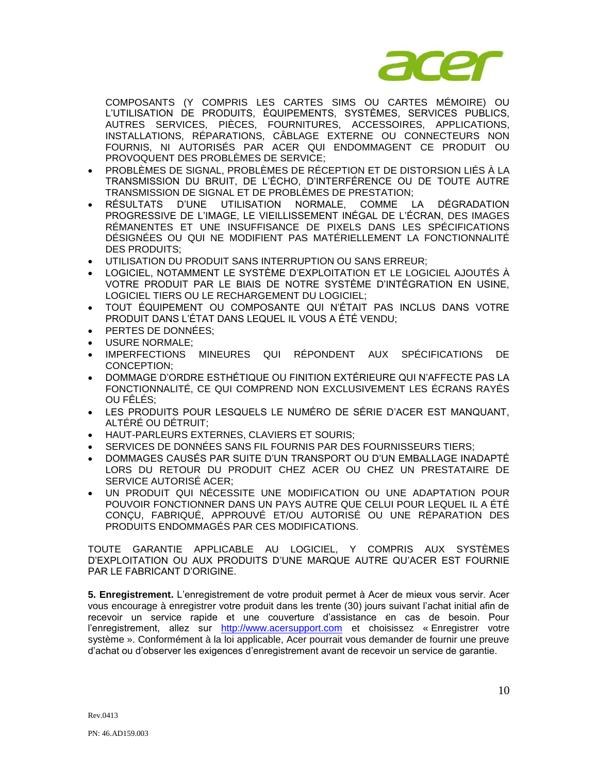

COMPOSANTS (Y COMPRIS LES CARTES SIMS OU CARTES MÉMOIRE) OU L'UTILISATION DE PRODUITS, ÉQUIPEMENTS, SYSTÈMES, SERVICES PUBLICS, AUTRES SERVICES, PIÈCES, FOURNITURES, ACCESSOIRES, APPLICATIONS, INSTALLATIONS, RÉPARATIONS, CÂBLAGE EXTERNE OU CONNECTEURS NON FOURNIS, NI AUTORISÉS PAR ACER QUI ENDOMMAGENT CE PRODUIT OU PROVOQUENT DES PROBLÈMES DE SERVICE;

- PROBLÈMES DE SIGNAL, PROBLÈMES DE RÉCEPTION ET DE DISTORSION LIÉS À LA TRANSMISSION DU BRUIT, DE L'ÉCHO, D'INTERFÉRENCE OU DE TOUTE AUTRE TRANSMISSION DE SIGNAL ET DE PROBLÈMES DE PRESTATION;
- RÉSULTATS D'UNE UTILISATION NORMALE, COMME LA DÉGRADATION PROGRESSIVE DE L'IMAGE, LE VIEILLISSEMENT INÉGAL DE L'ÉCRAN, DES IMAGES RÉMANENTES ET UNE INSUFFISANCE DE PIXELS DANS LES SPÉCIFICATIONS DÉSIGNÉES OU QUI NE MODIFIENT PAS MATÉRIELLEMENT LA FONCTIONNALITÉ DES PRODUITS;
- UTILISATION DU PRODUIT SANS INTERRUPTION OU SANS ERREUR;
- LOGICIEL, NOTAMMENT LE SYSTÈME D'EXPLOITATION ET LE LOGICIEL AJOUTÉS À VOTRE PRODUIT PAR LE BIAIS DE NOTRE SYSTÈME D'INTÉGRATION EN USINE, LOGICIEL TIERS OU LE RECHARGEMENT DU LOGICIEL;
- TOUT ÉQUIPEMENT OU COMPOSANTE QUI N'ÉTAIT PAS INCLUS DANS VOTRE PRODUIT DANS L'ÉTAT DANS LEQUEL IL VOUS A ÉTÉ VENDU;
- PERTES DE DONNÉES;
- USURE NORMALE;
- IMPERFECTIONS MINEURES QUI RÉPONDENT AUX SPÉCIFICATIONS DE CONCEPTION;
- DOMMAGE D'ORDRE ESTHÉTIQUE OU FINITION EXTÉRIEURE QUI N'AFFECTE PAS LA FONCTIONNALITÉ, CE QUI COMPREND NON EXCLUSIVEMENT LES ÉCRANS RAYÉS OU FÊLÉS;
- LES PRODUITS POUR LESQUELS LE NUMÉRO DE SÉRIE D'ACER EST MANQUANT, ALTÉRÉ OU DÉTRUIT;
- HAUT-PARLEURS EXTERNES, CLAVIERS ET SOURIS;
- SERVICES DE DONNÉES SANS FIL FOURNIS PAR DES FOURNISSEURS TIERS;
- DOMMAGES CAUSÉS PAR SUITE D'UN TRANSPORT OU D'UN EMBALLAGE INADAPTÉ LORS DU RETOUR DU PRODUIT CHEZ ACER OU CHEZ UN PRESTATAIRE DE SERVICE AUTORISÉ ACER;
- UN PRODUIT QUI NÉCESSITE UNE MODIFICATION OU UNE ADAPTATION POUR POUVOIR FONCTIONNER DANS UN PAYS AUTRE QUE CELUI POUR LEQUEL IL A ÉTÉ CONÇU, FABRIQUÉ, APPROUVÉ ET/OU AUTORISÉ OU UNE RÉPARATION DES PRODUITS ENDOMMAGÉS PAR CES MODIFICATIONS.

TOUTE GARANTIE APPLICABLE AU LOGICIEL, Y COMPRIS AUX SYSTÈMES D'EXPLOITATION OU AUX PRODUITS D'UNE MARQUE AUTRE QU'ACER EST FOURNIE PAR LE FABRICANT D'ORIGINE.

**5. Enregistrement.** L'enregistrement de votre produit permet à Acer de mieux vous servir. Acer vous encourage à enregistrer votre produit dans les trente (30) jours suivant l'achat initial afin de recevoir un service rapide et une couverture d'assistance en cas de besoin. Pour l'enregistrement, allez sur [http://www.acersupport.com](http://www.acersupport.com/) et choisissez « Enregistrer votre système ». Conformément à la loi applicable, Acer pourrait vous demander de fournir une preuve d'achat ou d'observer les exigences d'enregistrement avant de recevoir un service de garantie.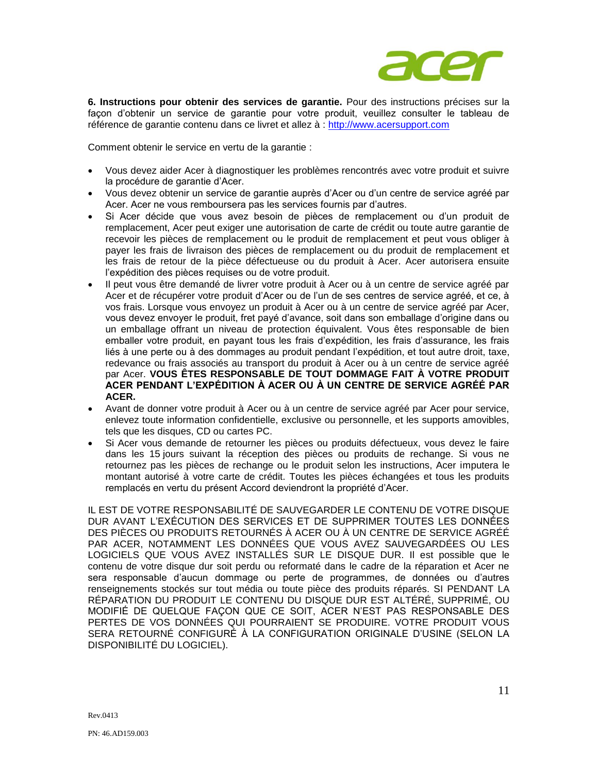

**6. Instructions pour obtenir des services de garantie.** Pour des instructions précises sur la façon d'obtenir un service de garantie pour votre produit, veuillez consulter le tableau de référence de garantie contenu dans ce livret et allez à : [http://www.acersupport.com](http://www.acersupport.com/)

Comment obtenir le service en vertu de la garantie :

- Vous devez aider Acer à diagnostiquer les problèmes rencontrés avec votre produit et suivre la procédure de garantie d'Acer.
- Vous devez obtenir un service de garantie auprès d'Acer ou d'un centre de service agréé par Acer. Acer ne vous remboursera pas les services fournis par d'autres.
- Si Acer décide que vous avez besoin de pièces de remplacement ou d'un produit de remplacement, Acer peut exiger une autorisation de carte de crédit ou toute autre garantie de recevoir les pièces de remplacement ou le produit de remplacement et peut vous obliger à payer les frais de livraison des pièces de remplacement ou du produit de remplacement et les frais de retour de la pièce défectueuse ou du produit à Acer. Acer autorisera ensuite l'expédition des pièces requises ou de votre produit.
- Il peut vous être demandé de livrer votre produit à Acer ou à un centre de service agréé par Acer et de récupérer votre produit d'Acer ou de l'un de ses centres de service agréé, et ce, à vos frais. Lorsque vous envoyez un produit à Acer ou à un centre de service agréé par Acer, vous devez envoyer le produit, fret payé d'avance, soit dans son emballage d'origine dans ou un emballage offrant un niveau de protection équivalent. Vous êtes responsable de bien emballer votre produit, en payant tous les frais d'expédition, les frais d'assurance, les frais liés à une perte ou à des dommages au produit pendant l'expédition, et tout autre droit, taxe, redevance ou frais associés au transport du produit à Acer ou à un centre de service agréé par Acer. **VOUS ÊTES RESPONSABLE DE TOUT DOMMAGE FAIT À VOTRE PRODUIT ACER PENDANT L'EXPÉDITION À ACER OU À UN CENTRE DE SERVICE AGRÉÉ PAR ACER.**
- Avant de donner votre produit à Acer ou à un centre de service agréé par Acer pour service, enlevez toute information confidentielle, exclusive ou personnelle, et les supports amovibles, tels que les disques, CD ou cartes PC.
- Si Acer vous demande de retourner les pièces ou produits défectueux, vous devez le faire dans les 15 jours suivant la réception des pièces ou produits de rechange. Si vous ne retournez pas les pièces de rechange ou le produit selon les instructions, Acer imputera le montant autorisé à votre carte de crédit. Toutes les pièces échangées et tous les produits remplacés en vertu du présent Accord deviendront la propriété d'Acer.

IL EST DE VOTRE RESPONSABILITÉ DE SAUVEGARDER LE CONTENU DE VOTRE DISQUE DUR AVANT L'EXÉCUTION DES SERVICES ET DE SUPPRIMER TOUTES LES DONNÉES DES PIÈCES OU PRODUITS RETOURNÉS À ACER OU À UN CENTRE DE SERVICE AGRÉÉ PAR ACER, NOTAMMENT LES DONNÉES QUE VOUS AVEZ SAUVEGARDÉES OU LES LOGICIELS QUE VOUS AVEZ INSTALLÉS SUR LE DISQUE DUR. Il est possible que le contenu de votre disque dur soit perdu ou reformaté dans le cadre de la réparation et Acer ne sera responsable d'aucun dommage ou perte de programmes, de données ou d'autres renseignements stockés sur tout média ou toute pièce des produits réparés. SI PENDANT LA RÉPARATION DU PRODUIT LE CONTENU DU DISQUE DUR EST ALTÉRÉ, SUPPRIMÉ, OU MODIFIÉ DE QUELQUE FAÇON QUE CE SOIT, ACER N'EST PAS RESPONSABLE DES PERTES DE VOS DONNÉES QUI POURRAIENT SE PRODUIRE. VOTRE PRODUIT VOUS SERA RETOURNÉ CONFIGURÉ À LA CONFIGURATION ORIGINALE D'USINE (SELON LA DISPONIBILITÉ DU LOGICIEL).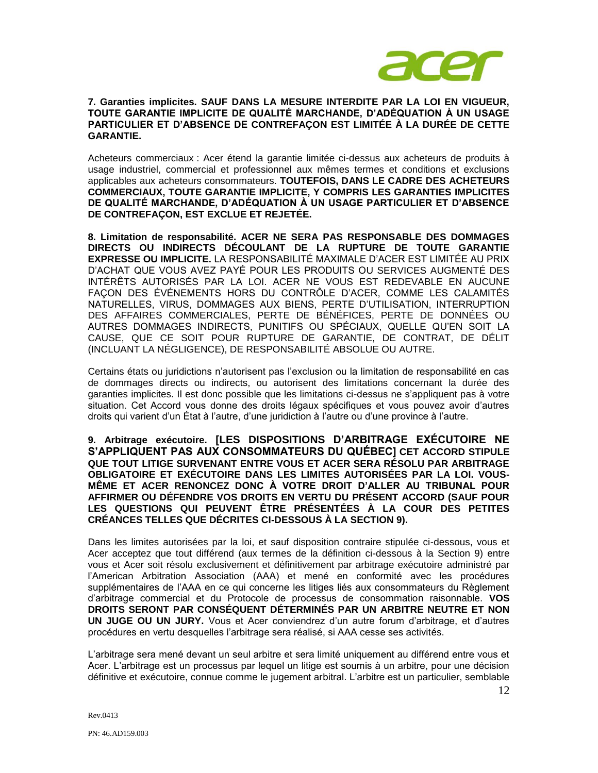

# **7. Garanties implicites. SAUF DANS LA MESURE INTERDITE PAR LA LOI EN VIGUEUR, TOUTE GARANTIE IMPLICITE DE QUALITÉ MARCHANDE, D'ADÉQUATION À UN USAGE PARTICULIER ET D'ABSENCE DE CONTREFAÇON EST LIMITÉE À LA DURÉE DE CETTE GARANTIE.**

Acheteurs commerciaux : Acer étend la garantie limitée ci-dessus aux acheteurs de produits à usage industriel, commercial et professionnel aux mêmes termes et conditions et exclusions applicables aux acheteurs consommateurs. **TOUTEFOIS, DANS LE CADRE DES ACHETEURS COMMERCIAUX, TOUTE GARANTIE IMPLICITE, Y COMPRIS LES GARANTIES IMPLICITES DE QUALITÉ MARCHANDE, D'ADÉQUATION À UN USAGE PARTICULIER ET D'ABSENCE DE CONTREFAÇON, EST EXCLUE ET REJETÉE.** 

**8. Limitation de responsabilité. ACER NE SERA PAS RESPONSABLE DES DOMMAGES DIRECTS OU INDIRECTS DÉCOULANT DE LA RUPTURE DE TOUTE GARANTIE EXPRESSE OU IMPLICITE.** LA RESPONSABILITÉ MAXIMALE D'ACER EST LIMITÉE AU PRIX D'ACHAT QUE VOUS AVEZ PAYÉ POUR LES PRODUITS OU SERVICES AUGMENTÉ DES INTÉRÊTS AUTORISÉS PAR LA LOI. ACER NE VOUS EST REDEVABLE EN AUCUNE FAÇON DES ÉVÉNEMENTS HORS DU CONTRÔLE D'ACER, COMME LES CALAMITÉS NATURELLES, VIRUS, DOMMAGES AUX BIENS, PERTE D'UTILISATION, INTERRUPTION DES AFFAIRES COMMERCIALES, PERTE DE BÉNÉFICES, PERTE DE DONNÉES OU AUTRES DOMMAGES INDIRECTS, PUNITIFS OU SPÉCIAUX, QUELLE QU'EN SOIT LA CAUSE, QUE CE SOIT POUR RUPTURE DE GARANTIE, DE CONTRAT, DE DÉLIT (INCLUANT LA NÉGLIGENCE), DE RESPONSABILITÉ ABSOLUE OU AUTRE.

Certains états ou juridictions n'autorisent pas l'exclusion ou la limitation de responsabilité en cas de dommages directs ou indirects, ou autorisent des limitations concernant la durée des garanties implicites. Il est donc possible que les limitations ci-dessus ne s'appliquent pas à votre situation. Cet Accord vous donne des droits légaux spécifiques et vous pouvez avoir d'autres droits qui varient d'un État à l'autre, d'une juridiction à l'autre ou d'une province à l'autre.

**9. Arbitrage exécutoire. [LES DISPOSITIONS D'ARBITRAGE EXÉCUTOIRE NE S'APPLIQUENT PAS AUX CONSOMMATEURS DU QUÉBEC] CET ACCORD STIPULE QUE TOUT LITIGE SURVENANT ENTRE VOUS ET ACER SERA RÉSOLU PAR ARBITRAGE OBLIGATOIRE ET EXÉCUTOIRE DANS LES LIMITES AUTORISÉES PAR LA LOI. VOUS-MÊME ET ACER RENONCEZ DONC À VOTRE DROIT D'ALLER AU TRIBUNAL POUR AFFIRMER OU DÉFENDRE VOS DROITS EN VERTU DU PRÉSENT ACCORD (SAUF POUR LES QUESTIONS QUI PEUVENT ÊTRE PRÉSENTÉES À LA COUR DES PETITES CRÉANCES TELLES QUE DÉCRITES CI-DESSOUS À LA SECTION 9).** 

Dans les limites autorisées par la loi, et sauf disposition contraire stipulée ci-dessous, vous et Acer acceptez que tout différend (aux termes de la définition ci-dessous à la Section 9) entre vous et Acer soit résolu exclusivement et définitivement par arbitrage exécutoire administré par l'American Arbitration Association (AAA) et mené en conformité avec les procédures supplémentaires de l'AAA en ce qui concerne les litiges liés aux consommateurs du Règlement d'arbitrage commercial et du Protocole de processus de consommation raisonnable. **VOS DROITS SERONT PAR CONSÉQUENT DÉTERMINÉS PAR UN ARBITRE NEUTRE ET NON UN JUGE OU UN JURY.** Vous et Acer conviendrez d'un autre forum d'arbitrage, et d'autres procédures en vertu desquelles l'arbitrage sera réalisé, si AAA cesse ses activités.

L'arbitrage sera mené devant un seul arbitre et sera limité uniquement au différend entre vous et Acer. L'arbitrage est un processus par lequel un litige est soumis à un arbitre, pour une décision définitive et exécutoire, connue comme le jugement arbitral. L'arbitre est un particulier, semblable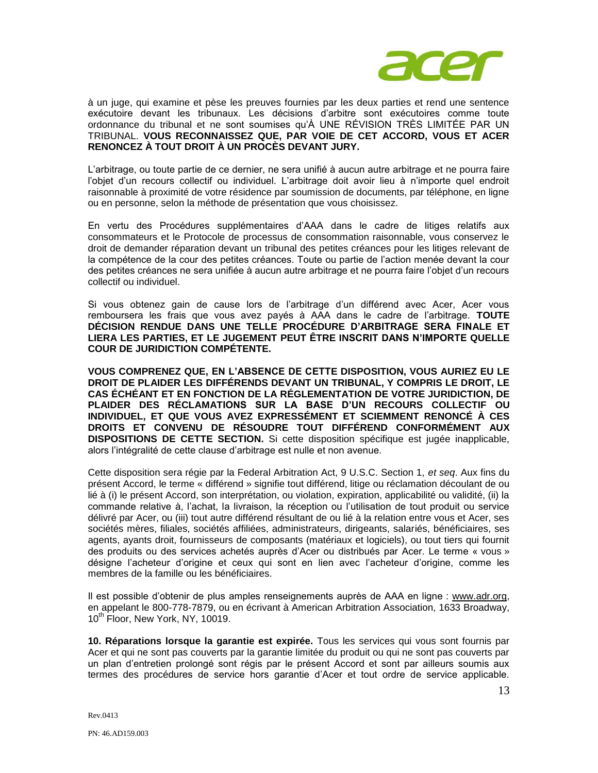

à un juge, qui examine et pèse les preuves fournies par les deux parties et rend une sentence exécutoire devant les tribunaux. Les décisions d'arbitre sont exécutoires comme toute ordonnance du tribunal et ne sont soumises qu'À UNE RÉVISION TRÈS LIMITÉE PAR UN TRIBUNAL. **VOUS RECONNAISSEZ QUE, PAR VOIE DE CET ACCORD, VOUS ET ACER RENONCEZ À TOUT DROIT À UN PROCÈS DEVANT JURY.** 

L'arbitrage, ou toute partie de ce dernier, ne sera unifié à aucun autre arbitrage et ne pourra faire l'objet d'un recours collectif ou individuel. L'arbitrage doit avoir lieu à n'importe quel endroit raisonnable à proximité de votre résidence par soumission de documents, par téléphone, en ligne ou en personne, selon la méthode de présentation que vous choisissez.

En vertu des Procédures supplémentaires d'AAA dans le cadre de litiges relatifs aux consommateurs et le Protocole de processus de consommation raisonnable, vous conservez le droit de demander réparation devant un tribunal des petites créances pour les litiges relevant de la compétence de la cour des petites créances. Toute ou partie de l'action menée devant la cour des petites créances ne sera unifiée à aucun autre arbitrage et ne pourra faire l'objet d'un recours collectif ou individuel.

Si vous obtenez gain de cause lors de l'arbitrage d'un différend avec Acer, Acer vous remboursera les frais que vous avez payés à AAA dans le cadre de l'arbitrage. **TOUTE DÉCISION RENDUE DANS UNE TELLE PROCÉDURE D'ARBITRAGE SERA FINALE ET LIERA LES PARTIES, ET LE JUGEMENT PEUT ÊTRE INSCRIT DANS N'IMPORTE QUELLE COUR DE JURIDICTION COMPÉTENTE.** 

**VOUS COMPRENEZ QUE, EN L'ABSENCE DE CETTE DISPOSITION, VOUS AURIEZ EU LE DROIT DE PLAIDER LES DIFFÉRENDS DEVANT UN TRIBUNAL, Y COMPRIS LE DROIT, LE CAS ÉCHÉANT ET EN FONCTION DE LA RÉGLEMENTATION DE VOTRE JURIDICTION, DE PLAIDER DES RÉCLAMATIONS SUR LA BASE D'UN RECOURS COLLECTIF OU INDIVIDUEL, ET QUE VOUS AVEZ EXPRESSÉMENT ET SCIEMMENT RENONCÉ À CES DROITS ET CONVENU DE RÉSOUDRE TOUT DIFFÉREND CONFORMÉMENT AUX DISPOSITIONS DE CETTE SECTION.** Si cette disposition spécifique est jugée inapplicable, alors l'intégralité de cette clause d'arbitrage est nulle et non avenue.

Cette disposition sera régie par la Federal Arbitration Act, 9 U.S.C. Section 1, *et seq*. Aux fins du présent Accord, le terme « différend » signifie tout différend, litige ou réclamation découlant de ou lié à (i) le présent Accord, son interprétation, ou violation, expiration, applicabilité ou validité, (ii) la commande relative à, l'achat, la livraison, la réception ou l'utilisation de tout produit ou service délivré par Acer, ou (iii) tout autre différend résultant de ou lié à la relation entre vous et Acer, ses sociétés mères, filiales, sociétés affiliées, administrateurs, dirigeants, salariés, bénéficiaires, ses agents, ayants droit, fournisseurs de composants (matériaux et logiciels), ou tout tiers qui fournit des produits ou des services achetés auprès d'Acer ou distribués par Acer. Le terme « vous » désigne l'acheteur d'origine et ceux qui sont en lien avec l'acheteur d'origine, comme les membres de la famille ou les bénéficiaires.

Il est possible d'obtenir de plus amples renseignements auprès de AAA en ligne : www.adr.org, en appelant le 800-778-7879, ou en écrivant à American Arbitration Association, 1633 Broadway, 10<sup>th</sup> Floor, New York, NY, 10019.

**10. Réparations lorsque la garantie est expirée.** Tous les services qui vous sont fournis par Acer et qui ne sont pas couverts par la garantie limitée du produit ou qui ne sont pas couverts par un plan d'entretien prolongé sont régis par le présent Accord et sont par ailleurs soumis aux termes des procédures de service hors garantie d'Acer et tout ordre de service applicable.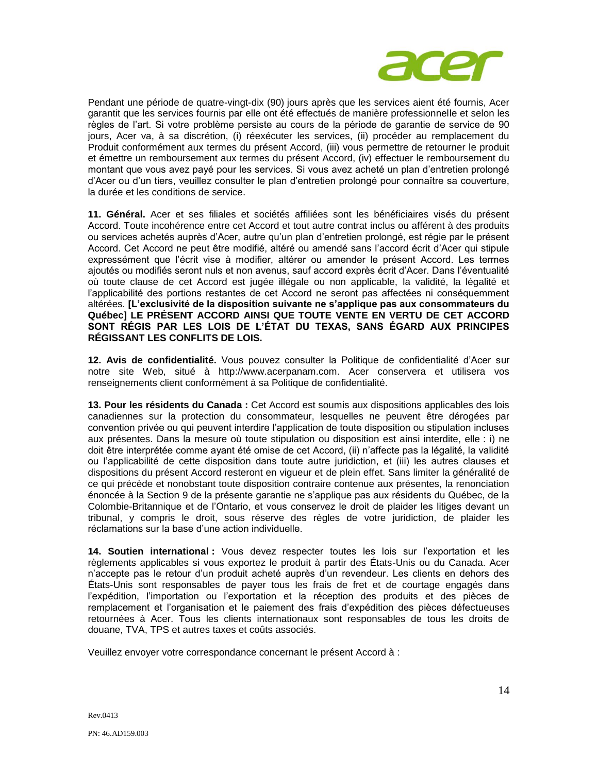

Pendant une période de quatre-vingt-dix (90) jours après que les services aient été fournis, Acer garantit que les services fournis par elle ont été effectués de manière professionnelle et selon les règles de l'art. Si votre problème persiste au cours de la période de garantie de service de 90 jours, Acer va, à sa discrétion, (i) réexécuter les services, (ii) procéder au remplacement du Produit conformément aux termes du présent Accord, (iii) vous permettre de retourner le produit et émettre un remboursement aux termes du présent Accord, (iv) effectuer le remboursement du montant que vous avez payé pour les services. Si vous avez acheté un plan d'entretien prolongé d'Acer ou d'un tiers, veuillez consulter le plan d'entretien prolongé pour connaître sa couverture, la durée et les conditions de service.

**11. Général.** Acer et ses filiales et sociétés affiliées sont les bénéficiaires visés du présent Accord. Toute incohérence entre cet Accord et tout autre contrat inclus ou afférent à des produits ou services achetés auprès d'Acer, autre qu'un plan d'entretien prolongé, est régie par le présent Accord. Cet Accord ne peut être modifié, altéré ou amendé sans l'accord écrit d'Acer qui stipule expressément que l'écrit vise à modifier, altérer ou amender le présent Accord. Les termes ajoutés ou modifiés seront nuls et non avenus, sauf accord exprès écrit d'Acer. Dans l'éventualité où toute clause de cet Accord est jugée illégale ou non applicable, la validité, la légalité et l'applicabilité des portions restantes de cet Accord ne seront pas affectées ni conséquemment altérées. **[L'exclusivité de la disposition suivante ne s'applique pas aux consommateurs du Québec] LE PRÉSENT ACCORD AINSI QUE TOUTE VENTE EN VERTU DE CET ACCORD SONT RÉGIS PAR LES LOIS DE L'ÉTAT DU TEXAS, SANS ÉGARD AUX PRINCIPES RÉGISSANT LES CONFLITS DE LOIS.** 

**12. Avis de confidentialité.** Vous pouvez consulter la Politique de confidentialité d'Acer sur notre site Web, situé à http://www.acerpanam.com. Acer conservera et utilisera vos renseignements client conformément à sa Politique de confidentialité.

**13. Pour les résidents du Canada :** Cet Accord est soumis aux dispositions applicables des lois canadiennes sur la protection du consommateur, lesquelles ne peuvent être dérogées par convention privée ou qui peuvent interdire l'application de toute disposition ou stipulation incluses aux présentes. Dans la mesure où toute stipulation ou disposition est ainsi interdite, elle : i) ne doit être interprétée comme ayant été omise de cet Accord, (ii) n'affecte pas la légalité, la validité ou l'applicabilité de cette disposition dans toute autre juridiction, et (iii) les autres clauses et dispositions du présent Accord resteront en vigueur et de plein effet. Sans limiter la généralité de ce qui précède et nonobstant toute disposition contraire contenue aux présentes, la renonciation énoncée à la Section 9 de la présente garantie ne s'applique pas aux résidents du Québec, de la Colombie-Britannique et de l'Ontario, et vous conservez le droit de plaider les litiges devant un tribunal, y compris le droit, sous réserve des règles de votre juridiction, de plaider les réclamations sur la base d'une action individuelle.

**14. Soutien international :** Vous devez respecter toutes les lois sur l'exportation et les règlements applicables si vous exportez le produit à partir des États-Unis ou du Canada. Acer n'accepte pas le retour d'un produit acheté auprès d'un revendeur. Les clients en dehors des États-Unis sont responsables de payer tous les frais de fret et de courtage engagés dans l'expédition, l'importation ou l'exportation et la réception des produits et des pièces de remplacement et l'organisation et le paiement des frais d'expédition des pièces défectueuses retournées à Acer. Tous les clients internationaux sont responsables de tous les droits de douane, TVA, TPS et autres taxes et coûts associés.

Veuillez envoyer votre correspondance concernant le présent Accord à :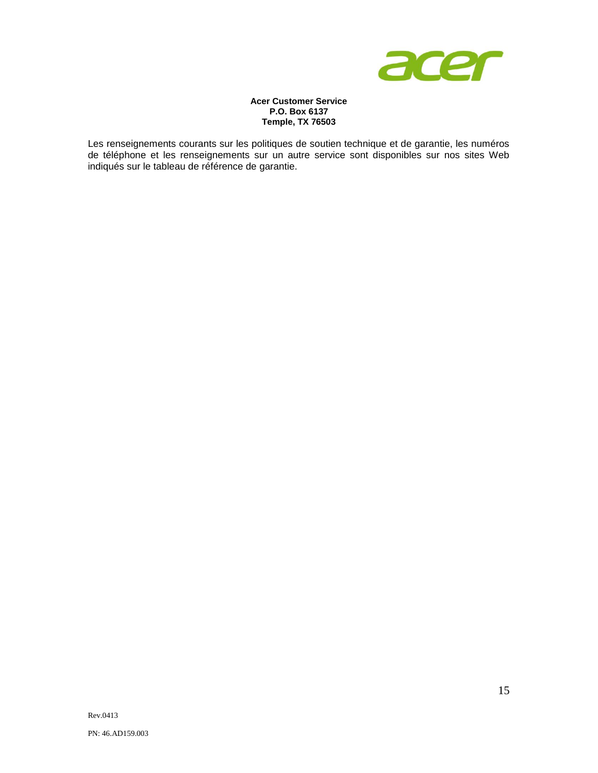

## **Acer Customer Service P.O. Box 6137 Temple, TX 76503**

Les renseignements courants sur les politiques de soutien technique et de garantie, les numéros de téléphone et les renseignements sur un autre service sont disponibles sur nos sites Web indiqués sur le tableau de référence de garantie.

PN: 46.AD159.003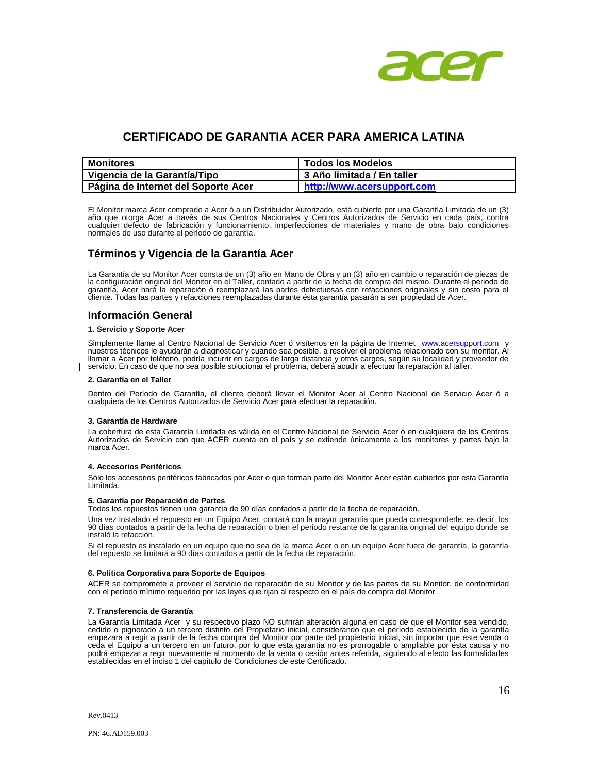

# **CERTIFICADO DE GARANTIA ACER PARA AMERICA LATINA**

| <b>Monitores</b>                    | <b>Todos los Modelos</b>   |
|-------------------------------------|----------------------------|
| Vigencia de la Garantía/Tipo        | 3 Año limitada / En taller |
| Página de Internet del Soporte Acer | http://www.acersupport.com |

El Monitor marca Acer comprado a Acer ó a un Distribuidor Autorizado, está cubierto por una Garantía Limitada de un (3) año que otorga Acer a través de sus Centros Nacionales y Centros Autorizados de Servicio en cada país, contra cualquier defecto de fabricación y funcionamiento, imperfecciones de materiales y mano de obra bajo condiciones normales de uso durante el período de garantía.

# **Términos y Vigencia de la Garantía Acer**

La Garantía de su Monitor Acer consta de un (3) año en Mano de Obra y un (3) año en cambio o reparación de piezas de<br>la configuración original del Monitor en el Taller, contado a partir de la fecha de compra del mismo. Dur cliente. Todas las partes y refacciones reemplazadas durante ésta garantía pasarán a ser propiedad de Acer.

# **Información General**

#### **1. Servicio y Soporte Acer**

Simplemente llame al Centro Nacional de Servicio Acer ó visítenos en la página de Internet [www.acersupport.com](http://www.acersupport.com/) y<br>nuestros técnicos le ayudarán a diagnosticar y cuando sea posible, a resolver el problema relacionado con su llamar a Acer por teléfono, podría incurrir en cargos de larga distancia y otros cargos, según su localidad y proveedor de servicio. En caso de que no sea posible solucionar el problema, deberá acudir a efectuar la reparación al taller.

#### **2. Garantía en el Taller**

Dentro del Período de Garantía, el cliente deberá llevar el Monitor Acer al Centro Nacional de Servicio Acer ó a cualquiera de los Centros Autorizados de Servicio Acer para efectuar la reparación.

#### **3. Garantía de Hardware**

La cobertura de esta Garantía Limitada es válida en el Centro Nacional de Servicio Acer ó en cualquiera de los Centros Autorizados de Servicio con que ACER cuenta en el país y se extiende únicamente a los monitores y partes bajo la marca Acer.

#### **4. Accesorios Periféricos**

Sólo los accesorios periféricos fabricados por Acer o que forman parte del Monitor Acer están cubiertos por esta Garantía Limitada.

#### **5. Garantía por Reparación de Partes**

Todos los repuestos tienen una garantía de 90 días contados a partir de la fecha de reparación.

Una vez instalado el repuesto en un Equipo Acer, contará con la mayor garantía que pueda corresponderle, es decir, los 90 días contados a partir de la fecha de reparación o bien el periodo restante de la garantía original del equipo donde se instaló la refacción.

Si el repuesto es instalado en un equipo que no sea de la marca Acer o en un equipo Acer fuera de garantía, la garantía del repuesto se limitará a 90 días contados a partir de la fecha de reparación.

#### **6. Política Corporativa para Soporte de Equipos**

ACER se compromete a proveer el servicio de reparación de su Monitor y de las partes de su Monitor, de conformidad con el período mínimo requerido por las leyes que rijan al respecto en el país de compra del Monitor.

#### **7. Transferencia de Garantía**

La Garantía Limitada Acer y su respectivo plazo NO sufrirán alteración alguna en caso de que el Monitor sea vendido, cedido o pignorado a un tercero distinto del Propietario inicial, considerando que el período establecido de la garantía empezara a regir a partir de la fecha compra del Monitor por parte del propietario inicial, sin importar que este venda o ceda el Equipo a un tercero en un futuro, por lo que esta garantía no es prorrogable o ampliable por ésta causa y no podrá empezar a regir nuevamente al momento de la venta o cesión antes referida, siguiendo al efecto las formalidades establecidas en el inciso 1 del capítulo de Condiciones de este Certificado.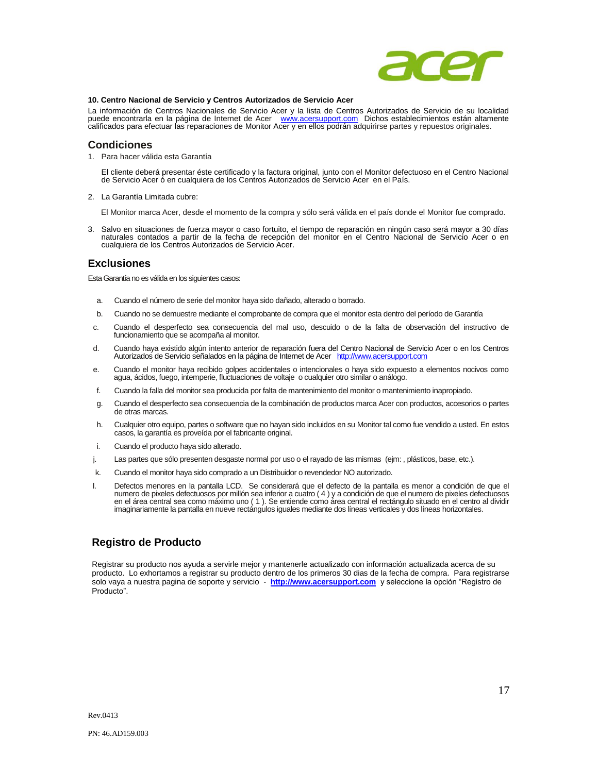

### **10. Centro Nacional de Servicio y Centros Autorizados de Servicio Acer**

La información de Centros Nacionales de Servicio Acer y la lista de Centros Autorizados de Servicio de su localidad<br>puede encontrarla en la página de Internet de Acer ve [www.acersupport.com](http://www.acerpanam.com/) Dichos establecimientos están al calificados para efectuar las reparaciones de Monitor Acer y en ellos podrán adquirirse partes y repuestos originales.

### **Condiciones**

1. Para hacer válida esta Garantía

El cliente deberá presentar éste certificado y la factura original, junto con el Monitor defectuoso en el Centro Nacional de Servicio Acer ó en cualquiera de los Centros Autorizados de Servicio Acer en el País.

2. La Garantía Limitada cubre:

El Monitor marca Acer, desde el momento de la compra y sólo será válida en el país donde el Monitor fue comprado.

3. Salvo en situaciones de fuerza mayor o caso fortuito, el tiempo de reparación en ningún caso será mayor a 30 días naturales contados a partir de la fecha de recepción del monitor en el Centro Nacional de Servicio Acer o en cualquiera de los Centros Autorizados de Servicio Acer.

## **Exclusiones**

Esta Garantía no es válida en los siguientes casos:

- a. Cuando el número de serie del monitor haya sido dañado, alterado o borrado.
- b. Cuando no se demuestre mediante el comprobante de compra que el monitor esta dentro del período de Garantía
- c. Cuando el desperfecto sea consecuencia del mal uso, descuido o de la falta de observación del instructivo de funcionamiento que se acompaña al monitor.
- d. Cuando haya existido algún intento anterior de reparación fuera del Centro Nacional de Servicio Acer o en los Centros Autorizados de Servicio señalados en la página de Internet de Acer [http://www.acersupport.com](http://www.acerpanam.com/)
- e. Cuando el monitor haya recibido golpes accidentales o intencionales o haya sido expuesto a elementos nocivos como agua, ácidos, fuego, intemperie, fluctuaciones de voltaje o cualquier otro similar o análogo.
- f. Cuando la falla del monitor sea producida por falta de mantenimiento del monitor o mantenimiento inapropiado.
- g. Cuando el desperfecto sea consecuencia de la combinación de productos marca Acer con productos, accesorios o partes de otras marcas.
- h. Cualquier otro equipo, partes o software que no hayan sido incluidos en su Monitor tal como fue vendido a usted. En estos casos, la garantía es proveída por el fabricante original.
- i. Cuando el producto haya sido alterado.
- j. Las partes que sólo presenten desgaste normal por uso o el rayado de las mismas (ejm: , plásticos, base, etc.).
- k. Cuando el monitor haya sido comprado a un Distribuidor o revendedor NO autorizado.
- l. Defectos menores en la pantalla LCD. Se considerará que el defecto de la pantalla es menor a condición de que el numero de pixeles defectuosos por millón sea inferior a cuatro ( 4 ) y a condición de que el numero de pixeles defectuosos en el área central sea como máximo uno ( 1 ). Se entiende como área central el rectángulo situado en el centro al dividir imaginariamente la pantalla en nueve rectángulos iguales mediante dos líneas verticales y dos líneas horizontales.

# **Registro de Producto**

Registrar su producto nos ayuda a servirle mejor y mantenerle actualizado con información actualizada acerca de su producto. Lo exhortamos a registrar su producto dentro de los primeros 30 dias de la fecha de compra. Para registrarse solo vaya a nuestra pagina de soporte y servicio - **[http://www.acersupport.com](http://www.acersupport.com/)** y seleccione la opción "Registro de Producto".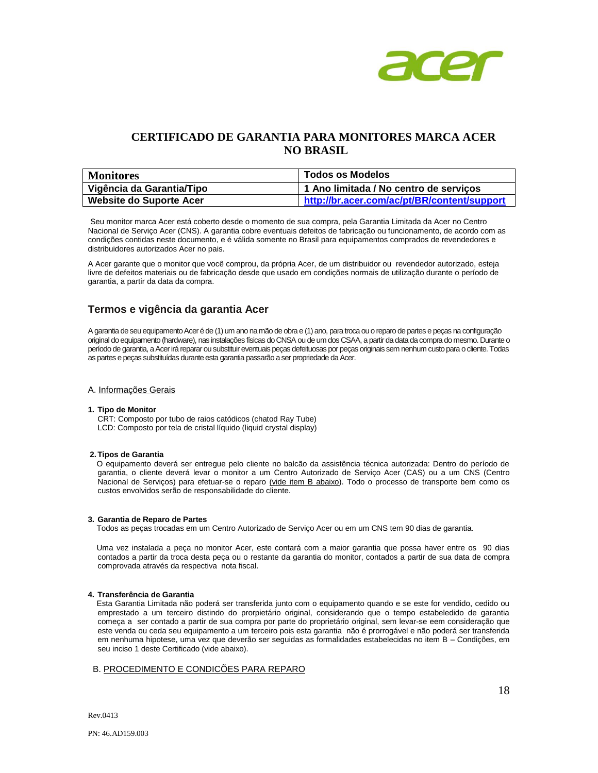

# **CERTIFICADO DE GARANTIA PARA MONITORES MARCA ACER NO BRASIL**

| <b>Monitores</b>               | <b>Todos os Modelos</b>                     |
|--------------------------------|---------------------------------------------|
| Vigência da Garantia/Tipo      | 1 Ano limitada / No centro de serviços      |
| <b>Website do Suporte Acer</b> | http://br.acer.com/ac/pt/BR/content/support |

Seu monitor marca Acer está coberto desde o momento de sua compra, pela Garantia Limitada da Acer no Centro Nacional de Serviço Acer (CNS). A garantia cobre eventuais defeitos de fabricação ou funcionamento, de acordo com as condições contidas neste documento, e é válida somente no Brasil para equipamentos comprados de revendedores e distribuidores autorizados Acer no pais.

A Acer garante que o monitor que você comprou, da própria Acer, de um distribuidor ou revendedor autorizado, esteja livre de defeitos materiais ou de fabricação desde que usado em condições normais de utilização durante o período de garantia, a partir da data da compra.

# **Termos e vigência da garantia Acer**

A garantia de seu equipamento Acer é de (1) um ano na mão de obra e (1) ano, para troca ou o reparo de partes e peças na configuração original do equipamento (hardware), nas instalações físicas do CNSA ou de um dos CSAA, a partir da data da compra do mesmo. Durante o período de garantia, a Acer irá reparar ou substituir eventuais peças defeituosas por peças originais sem nenhum custo para o cliente. Todas as partes e peças substituídas durante esta garantia passarão a ser propriedade da Acer.

### A. Informações Gerais

#### **1. Tipo de Monitor**

CRT: Composto por tubo de raios catódicos (chatod Ray Tube) LCD: Composto por tela de cristal líquido (liquid crystal display)

#### **2. Tipos de Garantia**

O equipamento deverá ser entregue pelo cliente no balcão da assistência técnica autorizada: Dentro do período de garantia, o cliente deverá levar o monitor a um Centro Autorizado de Serviço Acer (CAS) ou a um CNS (Centro Nacional de Serviços) para efetuar-se o reparo (vide item B abaixo). Todo o processo de transporte bem como os custos envolvidos serão de responsabilidade do cliente.

### **3. Garantia de Reparo de Partes**

Todos as peças trocadas em um Centro Autorizado de Serviço Acer ou em um CNS tem 90 dias de garantia.

Uma vez instalada a peça no monitor Acer, este contará com a maior garantia que possa haver entre os 90 dias contados a partir da troca desta peça ou o restante da garantia do monitor, contados a partir de sua data de compra comprovada através da respectiva nota fiscal.

### **4. Transferência de Garantia**

Esta Garantia Limitada não poderá ser transferida junto com o equipamento quando e se este for vendido, cedido ou emprestado a um terceiro distindo do prorpietário original, considerando que o tempo estabeledido de garantia começa a ser contado a partir de sua compra por parte do proprietário original, sem levar-se eem consideração que este venda ou ceda seu equipamento a um terceiro pois esta garantia não é prorrogável e não poderá ser transferida em nenhuma hipotese, uma vez que deverão ser seguidas as formalidades estabelecidas no item B – Condições, em seu inciso 1 deste Certificado (vide abaixo).

## B. PROCEDIMENTO E CONDICÕES PARA REPARO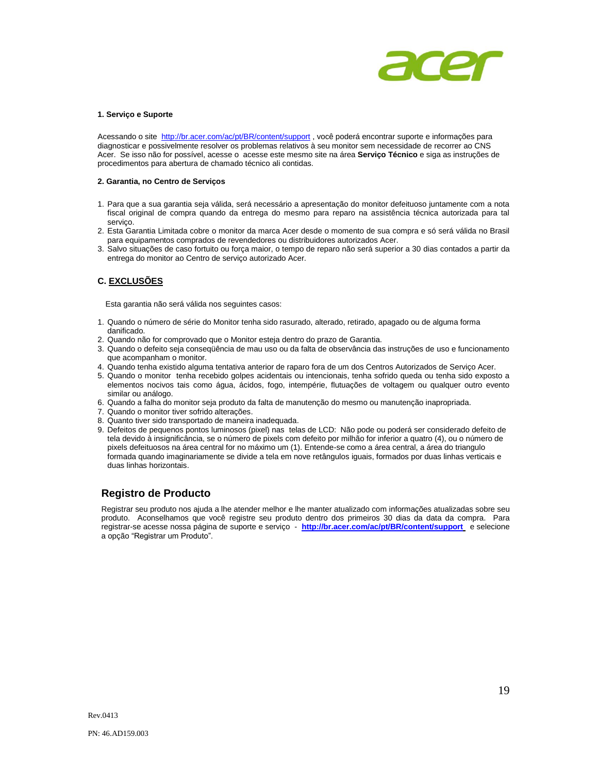

#### **1. Serviço e Suporte**

Acessando o site<http://br.acer.com/ac/pt/BR/content/support> , você poderá encontrar suporte e informações para diagnosticar e possivelmente resolver os problemas relativos à seu monitor sem necessidade de recorrer ao CNS Acer. Se isso não for possível, acesse o acesse este mesmo site na área Serviço Técnico e siga as instruções de procedimentos para abertura de chamado técnico ali contidas.

#### **2. Garantia, no Centro de Serviços**

- 1. Para que a sua garantia seja válida, será necessário a apresentação do monitor defeituoso juntamente com a nota fiscal original de compra quando da entrega do mesmo para reparo na assistência técnica autorizada para tal serviço.
- 2. Esta Garantia Limitada cobre o monitor da marca Acer desde o momento de sua compra e só será válida no Brasil para equipamentos comprados de revendedores ou distribuidores autorizados Acer.
- 3. Salvo situações de caso fortuito ou força maior, o tempo de reparo não será superior a 30 dias contados a partir da entrega do monitor ao Centro de serviço autorizado Acer.

## **C. EXCLUSÕES**

Esta garantia não será válida nos seguintes casos:

- 1. Quando o número de série do Monitor tenha sido rasurado, alterado, retirado, apagado ou de alguma forma danificado.
- 2. Quando não for comprovado que o Monitor esteja dentro do prazo de Garantia.
- 3. Quando o defeito seja conseqüência de mau uso ou da falta de observância das instruções de uso e funcionamento que acompanham o monitor.
- 4. Quando tenha existido alguma tentativa anterior de raparo fora de um dos Centros Autorizados de Serviço Acer.
- 5. Quando o monitor tenha recebido golpes acidentais ou intencionais, tenha sofrido queda ou tenha sido exposto a elementos nocivos tais como água, ácidos, fogo, intempérie, flutuações de voltagem ou qualquer outro evento similar ou análogo.
- 6. Quando a falha do monitor seja produto da falta de manutenção do mesmo ou manutenção inapropriada.
- 7. Quando o monitor tiver sofrido alterações.
- 8. Quanto tiver sido transportado de maneira inadequada.
- 9. Defeitos de pequenos pontos luminosos (pixel) nas telas de LCD: Não pode ou poderá ser considerado defeito de tela devido à insignificância, se o número de pixels com defeito por milhão for inferior a quatro (4), ou o número de pixels defeituosos na área central for no máximo um (1). Entende-se como a área central, a área do triangulo formada quando imaginariamente se divide a tela em nove retângulos iguais, formados por duas linhas verticais e duas linhas horizontais.

# **Registro de Producto**

Registrar seu produto nos ajuda a lhe atender melhor e lhe manter atualizado com informações atualizadas sobre seu produto. Aconselhamos que você registre seu produto dentro dos primeiros 30 dias da data da compra. Para registrar-se acesse nossa página de suporte e serviço - **<http://br.acer.com/ac/pt/BR/content/support>** e selecione a opção "Registrar um Produto".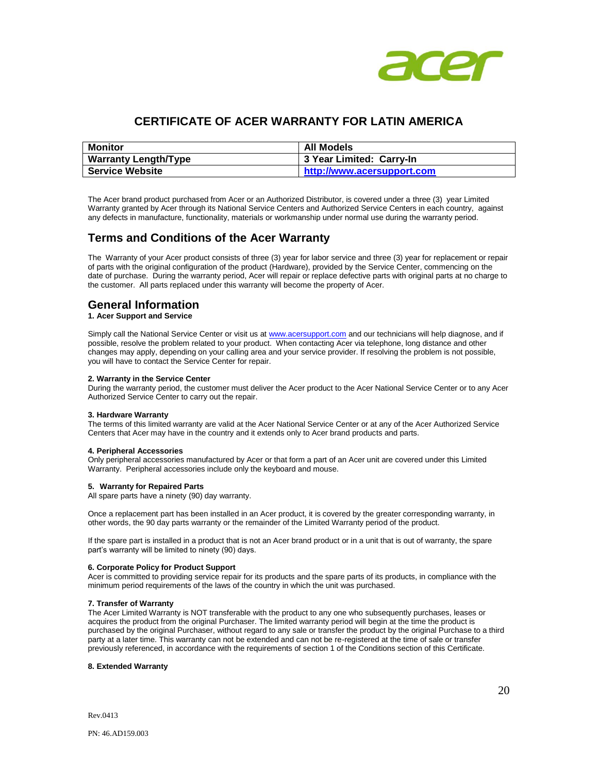

# **CERTIFICATE OF ACER WARRANTY FOR LATIN AMERICA**

| Monitor                     | All Models                 |
|-----------------------------|----------------------------|
| <b>Warranty Length/Type</b> | 3 Year Limited: Carry-In   |
| <b>Service Website</b>      | http://www.acersupport.com |

The Acer brand product purchased from Acer or an Authorized Distributor, is covered under a three (3) year Limited Warranty granted by Acer through its National Service Centers and Authorized Service Centers in each country, against any defects in manufacture, functionality, materials or workmanship under normal use during the warranty period.

# **Terms and Conditions of the Acer Warranty**

The Warranty of your Acer product consists of three (3) year for labor service and three (3) year for replacement or repair of parts with the original configuration of the product (Hardware), provided by the Service Center, commencing on the date of purchase. During the warranty period, Acer will repair or replace defective parts with original parts at no charge to the customer. All parts replaced under this warranty will become the property of Acer.

# **General Information**

### **1. Acer Support and Service**

Simply call the National Service Center or visit us a[t www.acersupport.com](http://www.acersupport.com/) and our technicians will help diagnose, and if possible, resolve the problem related to your product. When contacting Acer via telephone, long distance and other changes may apply, depending on your calling area and your service provider. If resolving the problem is not possible, you will have to contact the Service Center for repair.

#### **2. Warranty in the Service Center**

During the warranty period, the customer must deliver the Acer product to the Acer National Service Center or to any Acer Authorized Service Center to carry out the repair.

#### **3. Hardware Warranty**

The terms of this limited warranty are valid at the Acer National Service Center or at any of the Acer Authorized Service Centers that Acer may have in the country and it extends only to Acer brand products and parts.

### **4. Peripheral Accessories**

Only peripheral accessories manufactured by Acer or that form a part of an Acer unit are covered under this Limited Warranty. Peripheral accessories include only the keyboard and mouse.

### **5. Warranty for Repaired Parts**

All spare parts have a ninety (90) day warranty.

Once a replacement part has been installed in an Acer product, it is covered by the greater corresponding warranty, in other words, the 90 day parts warranty or the remainder of the Limited Warranty period of the product.

If the spare part is installed in a product that is not an Acer brand product or in a unit that is out of warranty, the spare part's warranty will be limited to ninety (90) days.

### **6. Corporate Policy for Product Support**

Acer is committed to providing service repair for its products and the spare parts of its products, in compliance with the minimum period requirements of the laws of the country in which the unit was purchased.

#### **7. Transfer of Warranty**

The Acer Limited Warranty is NOT transferable with the product to any one who subsequently purchases, leases or acquires the product from the original Purchaser. The limited warranty period will begin at the time the product is purchased by the original Purchaser, without regard to any sale or transfer the product by the original Purchase to a third party at a later time. This warranty can not be extended and can not be re-registered at the time of sale or transfer previously referenced, in accordance with the requirements of section 1 of the Conditions section of this Certificate.

#### **8. Extended Warranty**

Rev.0413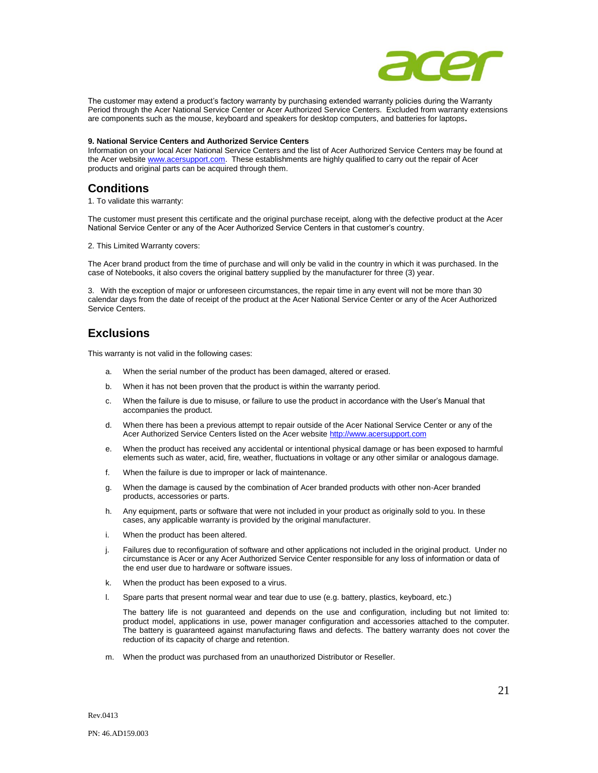

The customer may extend a product's factory warranty by purchasing extended warranty policies during the Warranty Period through the Acer National Service Center or Acer Authorized Service Centers. Excluded from warranty extensions are components such as the mouse, keyboard and speakers for desktop computers, and batteries for laptops**.**

#### **9. National Service Centers and Authorized Service Centers**

Information on your local Acer National Service Centers and the list of Acer Authorized Service Centers may be found at the Acer websit[e www.acersupport.com.](http://www.acersupport.com/) These establishments are highly qualified to carry out the repair of Acer products and original parts can be acquired through them.

# **Conditions**

1. To validate this warranty:

The customer must present this certificate and the original purchase receipt, along with the defective product at the Acer National Service Center or any of the Acer Authorized Service Centers in that customer's country.

2. This Limited Warranty covers:

The Acer brand product from the time of purchase and will only be valid in the country in which it was purchased. In the case of Notebooks, it also covers the original battery supplied by the manufacturer for three (3) year.

3. With the exception of major or unforeseen circumstances, the repair time in any event will not be more than 30 calendar days from the date of receipt of the product at the Acer National Service Center or any of the Acer Authorized Service Centers.

# **Exclusions**

This warranty is not valid in the following cases:

- a. When the serial number of the product has been damaged, altered or erased.
- b. When it has not been proven that the product is within the warranty period.
- c. When the failure is due to misuse, or failure to use the product in accordance with the User's Manual that accompanies the product.
- d. When there has been a previous attempt to repair outside of the Acer National Service Center or any of the Acer Authorized Service Centers listed on the Acer websit[e http://www.acersupport.com](http://www.acersupport.com/)
- e. When the product has received any accidental or intentional physical damage or has been exposed to harmful elements such as water, acid, fire, weather, fluctuations in voltage or any other similar or analogous damage.
- f. When the failure is due to improper or lack of maintenance.
- g. When the damage is caused by the combination of Acer branded products with other non-Acer branded products, accessories or parts.
- h. Any equipment, parts or software that were not included in your product as originally sold to you. In these cases, any applicable warranty is provided by the original manufacturer.
- i. When the product has been altered.
- j. Failures due to reconfiguration of software and other applications not included in the original product. Under no circumstance is Acer or any Acer Authorized Service Center responsible for any loss of information or data of the end user due to hardware or software issues.
- k. When the product has been exposed to a virus.
- l. Spare parts that present normal wear and tear due to use (e.g. battery, plastics, keyboard, etc.)

The battery life is not guaranteed and depends on the use and configuration, including but not limited to: product model, applications in use, power manager configuration and accessories attached to the computer. The battery is guaranteed against manufacturing flaws and defects. The battery warranty does not cover the reduction of its capacity of charge and retention.

m. When the product was purchased from an unauthorized Distributor or Reseller.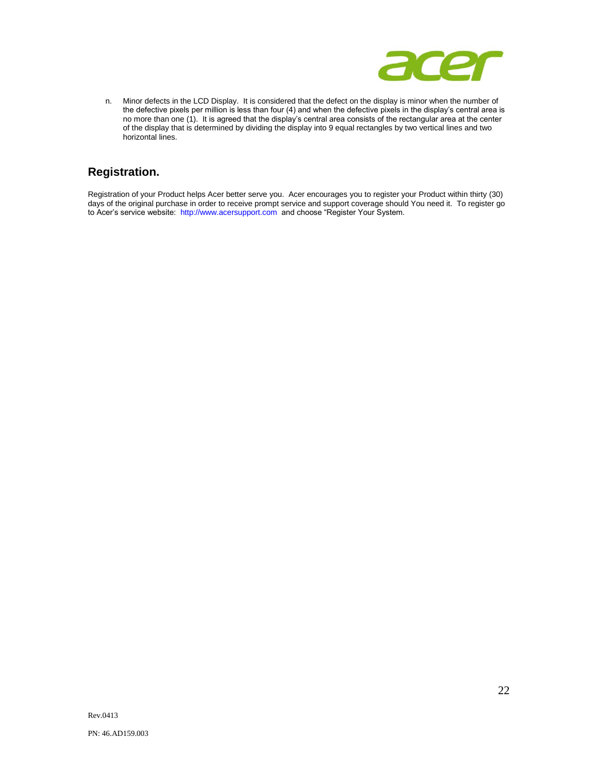

n. Minor defects in the LCD Display. It is considered that the defect on the display is minor when the number of the defective pixels per million is less than four (4) and when the defective pixels in the display's central area is no more than one (1). It is agreed that the display's central area consists of the rectangular area at the center of the display that is determined by dividing the display into 9 equal rectangles by two vertical lines and two horizontal lines.

# **Registration.**

Registration of your Product helps Acer better serve you. Acer encourages you to register your Product within thirty (30) days of the original purchase in order to receive prompt service and support coverage should You need it. To register go to Acer's service website: [http://www.acersupport.com](http://www.acersupport.com/) and choose "Register Your System.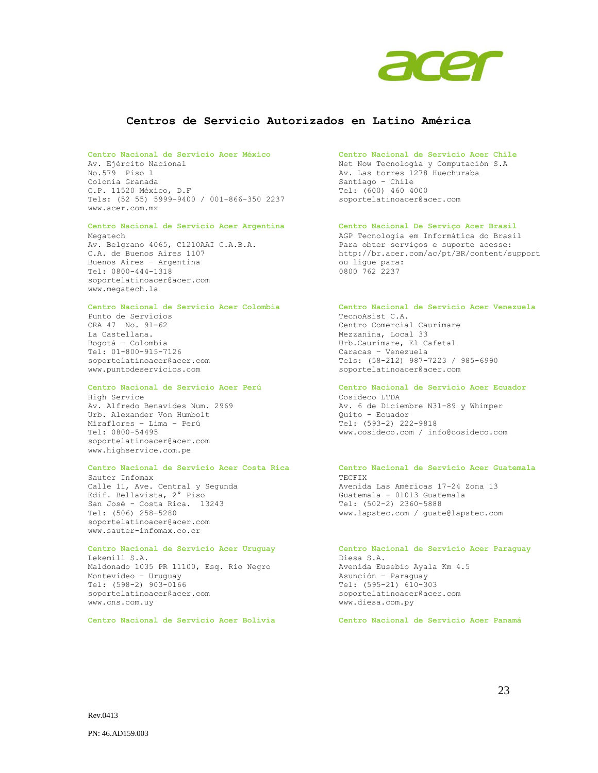

## **Centros de Servicio Autorizados en Latino América**

#### **Centro Nacional de Servicio Acer México Centro Nacional de Servicio Acer Chile**

Av. Ejército Nacional No.579 Piso 1 Colonia Granada C.P. 11520 México, D.F Tels: (52 55) 5999-9400 / 001-866-350 2237 [www.acer.com.mx](http://www.acer.com.mx/)

#### **Centro Nacional de Servicio Acer Argentina Centro Nacional De Serviço Acer Brasil** Megatech

Av. Belgrano 4065, C1210AAI C.A.B.A. C.A. de Buenos Aires 1107 Buenos Aires – Argentina Tel: 0800-444-1318 soportelatinoacer@acer.com www.megatech.la

Punto de Servicios CRA 47 No. 91-62 La Castellana. Bogotá – Colombia Tel: 01-800-915-7126 soportelatinoacer@acer.com www.puntodeservicios.com

High Service Av. Alfredo Benavides Num. 2969 Urb. Alexander Von Humbolt Miraflores – Lima – Perú Tel: 0800-54495 soportelatinoacer@acer.com www.highservice.com.pe

### **Centro Nacional de Servicio Acer Costa Rica Centro Nacional de Servicio Acer Guatemala**

Sauter Infomax Calle 11, Ave. Central y Segunda Edif. Bellavista, 2° Piso San José - Costa Rica. 13243 Tel: (506) 258-5280 soportelatinoacer@acer.com www.sauter-infomax.co.cr

Lekemill S.A. Maldonado 1035 PR 11100, Esq. Rio Negro Montevideo – Uruguay Tel: (598-2) 903-0166 soportelatinoacer@acer.com www.cns.com.uy

**Centro Nacional de Servicio Acer Bolivia Centro Nacional de Servicio Acer Panamá**

Net Now Tecnología y Computación S.A Av. Las torres 1278 Huechuraba Santiago – Chile Tel: (600) 460 4000 soportelatinoacer@acer.com

AGP Tecnologia em Informática do Brasil Para obter serviços e suporte acesse: http://br.acer.com/ac/pt/BR/content/support ou ligue para: 0800 762 2237

#### **Centro Nacional de Servicio Acer Colombia Centro Nacional de Servicio Acer Venezuela**

TecnoAsist C.A. Centro Comercial Caurimare Mezzanina, Local 33 Urb.Caurimare, El Cafetal Caracas – Venezuela Tels: (58-212) 987-7223 / 985-6990 soportelatinoacer@acer.com

#### **Centro Nacional de Servicio Acer Perú Centro Nacional de Servicio Acer Ecuador**

Cosideco LTDA Av. 6 de Diciembre N31-89 y Whimper Quito - Ecuador Tel: (593-2) 222-9818 www.cosideco.com / info@cosideco.com

# TECFIX

Avenida Las Américas 17-24 Zona 13 Guatemala - 01013 Guatemala Tel: (502-2) 2360-5888 www.lapstec.com / guate@lapstec.com

#### **Centro Nacional de Servicio Acer Uruguay Centro Nacional de Servicio Acer Paraguay** Diesa S.A.

Avenida Eusebio Ayala Km 4.5 Asunción – Paraguay Tel: (595-21) 610-303 soportelatinoacer@acer.com www.diesa.com.py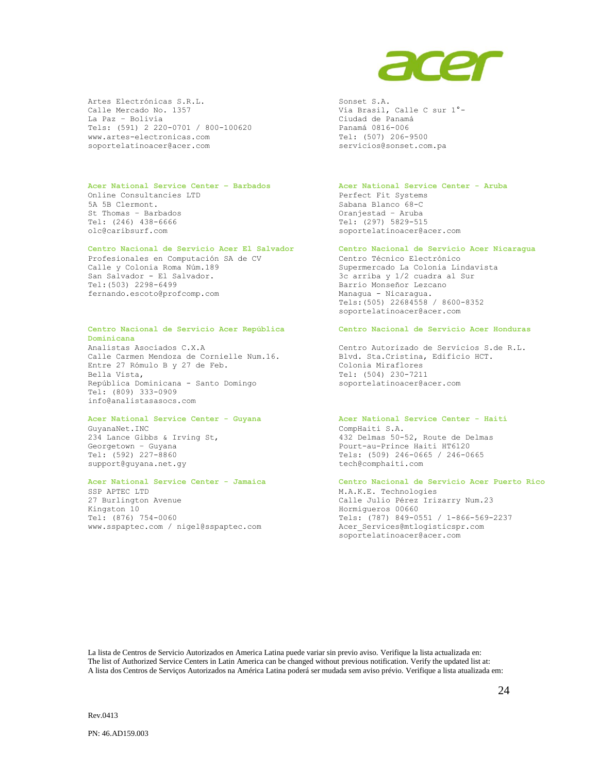

Artes Electrónicas S.R.L. Calle Mercado No. 1357 La Paz – Bolivia Tels: (591) 2 220-0701 / 800-100620 www.artes-electronicas.com soportelatinoacer@acer.com

#### **Acer National Service Center – Barbados Acer National Service Center - Aruba**

Online Consultancies LTD 5A 5B Clermont. St Thomas – Barbados Tel: (246) 438-6666 [olc@caribsurf.com](javascript:void(0))

Profesionales en Computación SA de CV Calle y Colonia Roma Núm.189 San Salvador - El Salvador. Tel:(503) 2298-6499 fernando.escoto@profcomp.com

#### **Centro Nacional de Servicio Acer República Dominicana**

Analistas Asociados C.X.A Calle Carmen Mendoza de Cornielle Num.16. Entre 27 Rómulo B y 27 de Feb. Bella Vista, República Dominicana - Santo Domingo Tel: (809) 333-0909 info@analistasasocs.com

GuyanaNet.INC 234 Lance Gibbs & Irving St, Georgetown – Guyana Tel: (592) 227-8860 support@guyana.net.gy

SSP APTEC LTD 27 Burlington Avenue Kingston 10 Tel: (876) 754-0060 www.sspaptec.com / nigel@sspaptec.com

#### Sonset S.A. Vía Brasil, Calle C sur 1°- Ciudad de Panamá Panamá 0816-006 Tel: (507) 206-9500 [servicios@sonset.com.pa](javascript:void(0))

Perfect Fit Systems Sabana Blanco 68-C Oranjestad – Aruba Tel: (297) 5829-515 soportelatinoacer@acer.com

#### **Centro Nacional de Servicio Acer El Salvador Centro Nacional de Servicio Acer Nicaragua**

Centro Técnico Electrónico Supermercado La Colonia Lindavista 3c arriba y 1/2 cuadra al Sur Barrio Monseñor Lezcano Managua - Nicaragua. Tels:(505) 22684558 / 8600-8352 soportelatinoacer@acer.com

#### **Centro Nacional de Servicio Acer Honduras**

Centro Autorizado de Servicios S.de R.L. Blvd. Sta.Cristina, Edificio HCT. Colonia Miraflores Tel: (504) 230-7211 soportelatinoacer@acer.com

#### **Acer National Service Center - Guyana Acer National Service Center - Haití**

CompHaiti S.A. 432 Delmas 50-52, Route de Delmas Pourt-au-Prince Haiti HT6120 Tels: (509) 246-0665 / 246-0665 tech@comphaiti.com

## **Acer National Service Center - Jamaica Centro Nacional de Servicio Acer Puerto Rico** M.A.K.E. Technologies Calle Julio Pérez Irizarry Num.23

Hormigueros 00660 Tels: (787) 849-0551 / 1-866-569-2237 Acer\_Services@mtlogisticspr.com soportelatinoacer@acer.com

La lista de Centros de Servicio Autorizados en America Latina puede variar sin previo aviso. Verifique la lista actualizada en: The list of Authorized Service Centers in Latin America can be changed without previous notification. Verify the updated list at: A lista dos Centros de Serviços Autorizados na América Latina poderá ser mudada sem aviso prévio. Verifique a lista atualizada em: